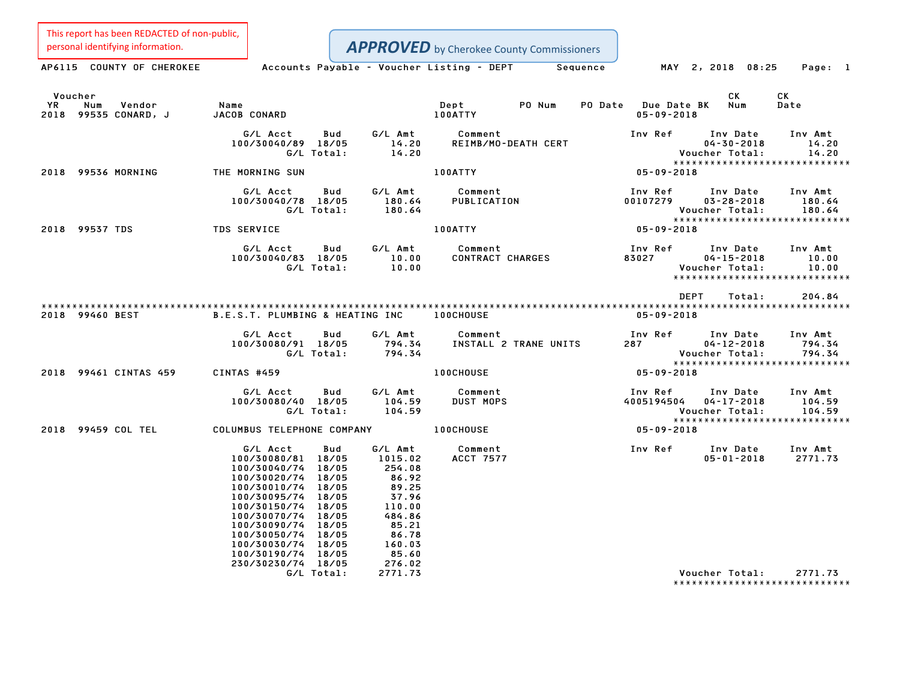This report has been REDACTED of non-public,

| personal identifying information.                             |                                                                                                                                                                                                                                                                      |                                                                                                                  | <b>APPROVED</b> by Cherokee County Commissioners      |                                         |                                                                                 |                             |
|---------------------------------------------------------------|----------------------------------------------------------------------------------------------------------------------------------------------------------------------------------------------------------------------------------------------------------------------|------------------------------------------------------------------------------------------------------------------|-------------------------------------------------------|-----------------------------------------|---------------------------------------------------------------------------------|-----------------------------|
| AP6115 COUNTY OF CHEROKEE                                     |                                                                                                                                                                                                                                                                      |                                                                                                                  | Accounts Payable - Voucher Listing - DEPT<br>Sequence |                                         | MAY 2, 2018 08:25                                                               | Page: 1                     |
| Voucher<br><b>YR</b><br>Num<br>Vendor<br>2018 99535 CONARD, J | Name<br><b>JACOB CONARD</b>                                                                                                                                                                                                                                          |                                                                                                                  | Dept<br>PO Num<br>100ATTY                             | PO Date Due Date BK<br>$05 - 09 - 2018$ | СK<br>Num                                                                       | CK<br>Date                  |
|                                                               | G/L Acct<br>Bud<br>100/30040/89 18/05<br>G/L Total:                                                                                                                                                                                                                  | G/L Amt<br>14.20<br>14.20                                                                                        | Comment<br>REIMB/MO-DEATH CERT                        | Inv Ref                                 | Inv Date<br>$04 - 30 - 2018$<br>Voucher Total:                                  | Inv Amt<br>14.20<br>14.20   |
| 2018 99536 MORNING                                            | THE MORNING SUN                                                                                                                                                                                                                                                      |                                                                                                                  | 100ATTY                                               | 05-09-2018                              | *****************************                                                   |                             |
|                                                               | G/L Acct<br>Bud<br>100/30040/78 18/05<br>G/L Total:                                                                                                                                                                                                                  | G/L Amt<br>180.64<br>180.64                                                                                      | Comment<br>PUBLICATION                                | Inv Ref<br>00107279                     | Inv Date<br>$03 - 28 - 2018$<br>Voucher Total:                                  | Inv Amt<br>180.64<br>180.64 |
| 2018 99537 TDS                                                | TDS SERVICE                                                                                                                                                                                                                                                          |                                                                                                                  | 100ATTY                                               | 05-09-2018                              | *****************************                                                   |                             |
|                                                               | G/L Acct<br>Bud<br>100/30040/83 18/05<br>G/L Total:                                                                                                                                                                                                                  | G/L Amt<br>10.00<br>10.00                                                                                        | Comment<br>CONTRACT CHARGES                           | Inv Ref<br>83027                        | Inv Date<br>$04 - 15 - 2018$<br>Voucher Total:<br>***************************** | Inv Amt<br>10.00<br>10.00   |
|                                                               |                                                                                                                                                                                                                                                                      |                                                                                                                  |                                                       |                                         | <b>DEPT</b><br>Total:                                                           | 204.84                      |
| 2018 99460 BEST                                               | B.E.S.T. PLUMBING & HEATING INC                                                                                                                                                                                                                                      |                                                                                                                  | <b>100CHOUSE</b>                                      | $05 - 09 - 2018$                        |                                                                                 |                             |
|                                                               | G/L Acct<br>Bud<br>100/30080/91 18/05<br>G/L Total:                                                                                                                                                                                                                  | G/L Amt<br>794.34<br>794.34                                                                                      | Comment<br>INSTALL 2 TRANE UNITS                      | Inv Ref<br>287                          | Inv Date<br>$04 - 12 - 2018$<br>Voucher Total:<br>***************************** | Inv Amt<br>794.34<br>794.34 |
| 2018 99461 CINTAS 459                                         | CINTAS #459                                                                                                                                                                                                                                                          |                                                                                                                  | 100CHOUSE                                             | 05-09-2018                              |                                                                                 |                             |
|                                                               | G/L Acct<br>Bud<br>100/30080/40 18/05<br>G/L Total:                                                                                                                                                                                                                  | G/L Amt<br>104.59<br>104.59                                                                                      | Comment<br><b>DUST MOPS</b>                           | Inv Ref<br>4005194504                   | Inv Date<br>$04 - 17 - 2018$<br>Voucher Total:<br>***************************** | Inv Amt<br>104.59<br>104.59 |
| 2018 99459 COL TEL                                            | COLUMBUS TELEPHONE COMPANY                                                                                                                                                                                                                                           |                                                                                                                  | <b>100CHOUSE</b>                                      | 05-09-2018                              |                                                                                 |                             |
|                                                               | G/L Acct<br>Bud<br>100/30080/81 18/05<br>100/30040/74 18/05<br>100/30020/74<br>18/05<br>100/30010/74 18/05<br>100/30095/74 18/05<br>100/30150/74 18/05<br>100/30070/74 18/05<br>100/30090/74 18/05<br>100/30050/74 18/05<br>100/30030/74 18/05<br>100/30190/74 18/05 | G/L Amt<br>1015.02<br>254.08<br>86.92<br>89.25<br>37.96<br>110.00<br>484.86<br>85.21<br>86.78<br>160.03<br>85.60 | Comment<br>ACCT 7577                                  | Inv Ref                                 | Inv Date<br>$05 - 01 - 2018$                                                    | Inv Amt<br>2771.73          |
|                                                               | 230/30230/74 18/05<br>G/L Total:                                                                                                                                                                                                                                     | 276.02<br>2771.73                                                                                                |                                                       |                                         | Voucher Total:                                                                  | 2771.73                     |

\*\*\*\*\*\*\*\*\*\*\*\*\*\*\*\*\*\*\*\*\*\*\*\*\*\*\*\*\*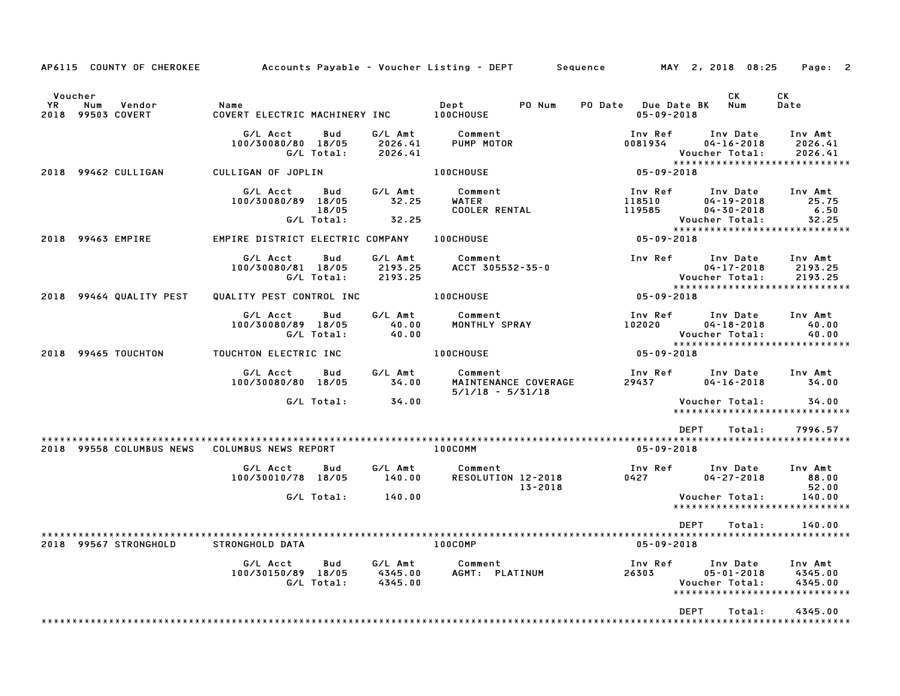| CK<br>Voucher<br>СK<br>PO Num<br>Num<br>YR.<br>Vendor<br>Name<br>Dept<br><b>PO Date</b> Due Date BK<br>Date<br>Num<br><b>99503 COVERT</b><br>COVERT ELECTRIC MACHINERY INC<br>100CHOUSE<br>$05 - 09 - 2018$<br>2018<br>Inv Ref<br>G/L Acct<br>Bud<br>G/L Amt<br>Comment<br>Inv Date<br>Inv Amt<br>100/30080/80 18/05<br>2026.41<br>PUMP MOTOR<br>0081934<br>$04 - 16 - 2018$<br>2026.41<br>G/L Total:<br>2026.41<br>Voucher Total:<br>2026.41<br>******************************<br>100CHOUSE<br>$05 - 09 - 2018$<br>99462 CULLIGAN<br>CULLIGAN OF JOPLIN<br>2018<br>G/L Acct<br>G/L Amt<br>Comment<br>Inv Ref<br>Bud<br>Inv Date<br>Inv Amt<br>100/30080/89 18/05<br>32.25<br>WATER<br>$04 - 19 - 2018$<br>25.75<br>118510<br>18/05<br><b>COOLER RENTAL</b><br>119585<br>$04 - 30 - 2018$<br>6.50<br>G/L Total:<br>32.25<br>Voucher Total:<br>32.25<br>******************************<br><b>100CHOUSE</b><br>$05 - 09 - 2018$<br>2018 99463 EMPIRE<br>EMPIRE DISTRICT ELECTRIC COMPANY<br>G/L Acct<br>G/L Amt<br>Comment<br>Inv Ref<br>Inv Date<br>Bud<br>Inv Amt<br>100/30080/81 18/05<br>2193.25<br>ACCT 305532-35-0<br>$04 - 17 - 2018$<br>2193.25<br>G/L Total:<br>2193.25<br>Voucher Total:<br>2193.25<br>******************************<br>99464 QUALITY PEST<br>QUALITY PEST CONTROL INC<br>100CHOUSE<br>$05 - 09 - 2018$<br>2018<br>G/L Acct<br>G/L Amt<br>Comment<br>Inv Ref<br>Inv Date<br>Inv Amt<br>Bud<br>100/30080/89 18/05<br>40.00<br>MONTHLY SPRAY<br>102020<br>$04 - 18 - 2018$<br>40.00<br>Voucher Total:<br>G/L Total:<br>40.00<br>40.00<br>******************************<br>$05 - 09 - 2018$<br>2018 99465 TOUCHTON<br>TOUCHTON ELECTRIC INC<br>100CHOUSE<br>G/L Acct<br>G/L Amt<br>Comment<br>Inv Ref<br>Bud<br>Inv Date<br>Inv Amt<br>100/30080/80 18/05<br>MAINTENANCE COVERAGE<br>$04 - 16 - 2018$<br>34.00<br>29437<br>34.00<br>$5/1/18 - 5/31/18$<br>34.00<br>G/L Total:<br>Voucher Total:<br>34.00<br>******************************<br><b>DEPT</b><br>Total:<br>7996.57<br>100COMM<br>$05 - 09 - 2018$<br>2018 99558 COLUMBUS NEWS<br><b>COLUMBUS NEWS REPORT</b><br>G/L Acct<br>G/L Amt<br>Comment<br>Inv Ref<br>Inv Date<br>Inv Amt<br>Bud<br>RESOLUTION 12-2018<br>100/30010/78 18/05<br>140.00<br>0427<br>$04 - 27 - 2018$<br>88.00<br>13-2018<br>52.00<br>G/L Total:<br>140.00<br>Voucher Total:<br>140.00<br>******************************<br><b>DEPT</b><br>Total:<br>140.00<br>100COMP<br>$05 - 09 - 2018$<br>2018 99567 STRONGHOLD<br>STRONGHOLD DATA<br>G/L Acct<br>Bud<br>G/L Amt<br>Comment<br>Inv Ref<br>Inv Date<br>Inv Amt | AP6115 COUNTY OF CHEROKEE |  |         | Accounts Payable - Voucher Listing - DEPT<br>Sequence |       | MAY 2, 2018 08:25 | Page: 2 |
|--------------------------------------------------------------------------------------------------------------------------------------------------------------------------------------------------------------------------------------------------------------------------------------------------------------------------------------------------------------------------------------------------------------------------------------------------------------------------------------------------------------------------------------------------------------------------------------------------------------------------------------------------------------------------------------------------------------------------------------------------------------------------------------------------------------------------------------------------------------------------------------------------------------------------------------------------------------------------------------------------------------------------------------------------------------------------------------------------------------------------------------------------------------------------------------------------------------------------------------------------------------------------------------------------------------------------------------------------------------------------------------------------------------------------------------------------------------------------------------------------------------------------------------------------------------------------------------------------------------------------------------------------------------------------------------------------------------------------------------------------------------------------------------------------------------------------------------------------------------------------------------------------------------------------------------------------------------------------------------------------------------------------------------------------------------------------------------------------------------------------------------------------------------------------------------------------------------------------------------------------------------------------------------------------------------------------------------------------------------------------------------------------------------------------------------------------------------------------------------------------------------------------------------------------------------------------|---------------------------|--|---------|-------------------------------------------------------|-------|-------------------|---------|
|                                                                                                                                                                                                                                                                                                                                                                                                                                                                                                                                                                                                                                                                                                                                                                                                                                                                                                                                                                                                                                                                                                                                                                                                                                                                                                                                                                                                                                                                                                                                                                                                                                                                                                                                                                                                                                                                                                                                                                                                                                                                                                                                                                                                                                                                                                                                                                                                                                                                                                                                                                          |                           |  |         |                                                       |       |                   |         |
|                                                                                                                                                                                                                                                                                                                                                                                                                                                                                                                                                                                                                                                                                                                                                                                                                                                                                                                                                                                                                                                                                                                                                                                                                                                                                                                                                                                                                                                                                                                                                                                                                                                                                                                                                                                                                                                                                                                                                                                                                                                                                                                                                                                                                                                                                                                                                                                                                                                                                                                                                                          |                           |  |         |                                                       |       |                   |         |
|                                                                                                                                                                                                                                                                                                                                                                                                                                                                                                                                                                                                                                                                                                                                                                                                                                                                                                                                                                                                                                                                                                                                                                                                                                                                                                                                                                                                                                                                                                                                                                                                                                                                                                                                                                                                                                                                                                                                                                                                                                                                                                                                                                                                                                                                                                                                                                                                                                                                                                                                                                          |                           |  |         |                                                       |       |                   |         |
|                                                                                                                                                                                                                                                                                                                                                                                                                                                                                                                                                                                                                                                                                                                                                                                                                                                                                                                                                                                                                                                                                                                                                                                                                                                                                                                                                                                                                                                                                                                                                                                                                                                                                                                                                                                                                                                                                                                                                                                                                                                                                                                                                                                                                                                                                                                                                                                                                                                                                                                                                                          |                           |  |         |                                                       |       |                   |         |
|                                                                                                                                                                                                                                                                                                                                                                                                                                                                                                                                                                                                                                                                                                                                                                                                                                                                                                                                                                                                                                                                                                                                                                                                                                                                                                                                                                                                                                                                                                                                                                                                                                                                                                                                                                                                                                                                                                                                                                                                                                                                                                                                                                                                                                                                                                                                                                                                                                                                                                                                                                          |                           |  |         |                                                       |       |                   |         |
|                                                                                                                                                                                                                                                                                                                                                                                                                                                                                                                                                                                                                                                                                                                                                                                                                                                                                                                                                                                                                                                                                                                                                                                                                                                                                                                                                                                                                                                                                                                                                                                                                                                                                                                                                                                                                                                                                                                                                                                                                                                                                                                                                                                                                                                                                                                                                                                                                                                                                                                                                                          |                           |  |         |                                                       |       |                   |         |
|                                                                                                                                                                                                                                                                                                                                                                                                                                                                                                                                                                                                                                                                                                                                                                                                                                                                                                                                                                                                                                                                                                                                                                                                                                                                                                                                                                                                                                                                                                                                                                                                                                                                                                                                                                                                                                                                                                                                                                                                                                                                                                                                                                                                                                                                                                                                                                                                                                                                                                                                                                          |                           |  |         |                                                       |       |                   |         |
|                                                                                                                                                                                                                                                                                                                                                                                                                                                                                                                                                                                                                                                                                                                                                                                                                                                                                                                                                                                                                                                                                                                                                                                                                                                                                                                                                                                                                                                                                                                                                                                                                                                                                                                                                                                                                                                                                                                                                                                                                                                                                                                                                                                                                                                                                                                                                                                                                                                                                                                                                                          |                           |  |         |                                                       |       |                   |         |
|                                                                                                                                                                                                                                                                                                                                                                                                                                                                                                                                                                                                                                                                                                                                                                                                                                                                                                                                                                                                                                                                                                                                                                                                                                                                                                                                                                                                                                                                                                                                                                                                                                                                                                                                                                                                                                                                                                                                                                                                                                                                                                                                                                                                                                                                                                                                                                                                                                                                                                                                                                          |                           |  |         |                                                       |       |                   |         |
|                                                                                                                                                                                                                                                                                                                                                                                                                                                                                                                                                                                                                                                                                                                                                                                                                                                                                                                                                                                                                                                                                                                                                                                                                                                                                                                                                                                                                                                                                                                                                                                                                                                                                                                                                                                                                                                                                                                                                                                                                                                                                                                                                                                                                                                                                                                                                                                                                                                                                                                                                                          |                           |  |         |                                                       |       |                   |         |
|                                                                                                                                                                                                                                                                                                                                                                                                                                                                                                                                                                                                                                                                                                                                                                                                                                                                                                                                                                                                                                                                                                                                                                                                                                                                                                                                                                                                                                                                                                                                                                                                                                                                                                                                                                                                                                                                                                                                                                                                                                                                                                                                                                                                                                                                                                                                                                                                                                                                                                                                                                          |                           |  |         |                                                       |       |                   |         |
|                                                                                                                                                                                                                                                                                                                                                                                                                                                                                                                                                                                                                                                                                                                                                                                                                                                                                                                                                                                                                                                                                                                                                                                                                                                                                                                                                                                                                                                                                                                                                                                                                                                                                                                                                                                                                                                                                                                                                                                                                                                                                                                                                                                                                                                                                                                                                                                                                                                                                                                                                                          |                           |  |         |                                                       |       |                   |         |
|                                                                                                                                                                                                                                                                                                                                                                                                                                                                                                                                                                                                                                                                                                                                                                                                                                                                                                                                                                                                                                                                                                                                                                                                                                                                                                                                                                                                                                                                                                                                                                                                                                                                                                                                                                                                                                                                                                                                                                                                                                                                                                                                                                                                                                                                                                                                                                                                                                                                                                                                                                          |                           |  |         |                                                       |       |                   |         |
|                                                                                                                                                                                                                                                                                                                                                                                                                                                                                                                                                                                                                                                                                                                                                                                                                                                                                                                                                                                                                                                                                                                                                                                                                                                                                                                                                                                                                                                                                                                                                                                                                                                                                                                                                                                                                                                                                                                                                                                                                                                                                                                                                                                                                                                                                                                                                                                                                                                                                                                                                                          |                           |  |         |                                                       |       |                   |         |
|                                                                                                                                                                                                                                                                                                                                                                                                                                                                                                                                                                                                                                                                                                                                                                                                                                                                                                                                                                                                                                                                                                                                                                                                                                                                                                                                                                                                                                                                                                                                                                                                                                                                                                                                                                                                                                                                                                                                                                                                                                                                                                                                                                                                                                                                                                                                                                                                                                                                                                                                                                          |                           |  |         |                                                       |       |                   |         |
| 100/30150/89 18/05<br>G/L Total:<br>4345.00<br>Voucher Total:<br>4345.00<br>*****************************                                                                                                                                                                                                                                                                                                                                                                                                                                                                                                                                                                                                                                                                                                                                                                                                                                                                                                                                                                                                                                                                                                                                                                                                                                                                                                                                                                                                                                                                                                                                                                                                                                                                                                                                                                                                                                                                                                                                                                                                                                                                                                                                                                                                                                                                                                                                                                                                                                                                |                           |  | 4345.00 | AGMT: PLATINUM                                        | 26303 | $05 - 01 - 2018$  | 4345.00 |
| <b>DEPT</b><br>4345.00<br>Total:                                                                                                                                                                                                                                                                                                                                                                                                                                                                                                                                                                                                                                                                                                                                                                                                                                                                                                                                                                                                                                                                                                                                                                                                                                                                                                                                                                                                                                                                                                                                                                                                                                                                                                                                                                                                                                                                                                                                                                                                                                                                                                                                                                                                                                                                                                                                                                                                                                                                                                                                         |                           |  |         |                                                       |       |                   |         |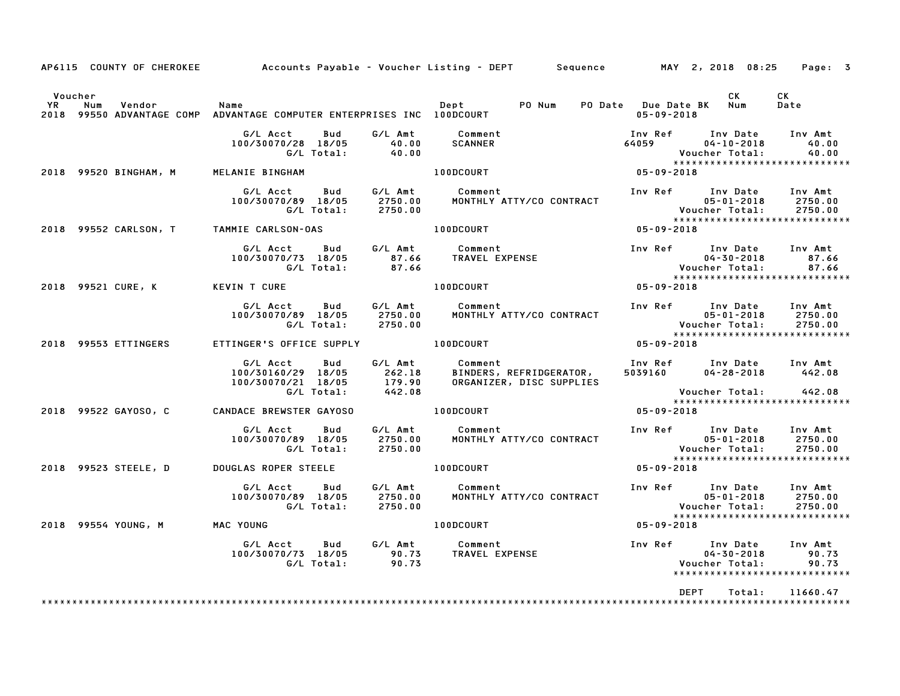| AP6115 COUNTY OF CHEROKEE                                                                                |                                                                           |                                       | Accounts Payable – Voucher Listing – DEPT       Sequence         MAY  2, 2018  08:25 |                                             |                                                                                         | Page: 3                       |
|----------------------------------------------------------------------------------------------------------|---------------------------------------------------------------------------|---------------------------------------|--------------------------------------------------------------------------------------|---------------------------------------------|-----------------------------------------------------------------------------------------|-------------------------------|
| Voucher<br>YR<br>Num<br>Vendor<br>2018 99550 ADVANTAGE COMP ADVANTAGE COMPUTER ENTERPRISES INC 100DCOURT | Name                                                                      |                                       | PO Num<br>Dept                                                                       | PO Date Due Date BK Num<br>$05 - 09 - 2018$ | CK.                                                                                     | CK<br>Date                    |
|                                                                                                          | G/L Acct<br>Bud<br>100/30070/28 18/05<br>G/L Total:                       | G/L Amt<br>40.00<br>40.00             | Comment<br><b>SCANNER</b>                                                            | Inv Ref<br>64059                            | Inv Date<br>$04 - 10 - 2018$<br>Voucher Total:                                          | Inv Amt<br>40.00<br>40.00     |
| 2018 99520 BINGHAM, M                                                                                    | MELANIE BINGHAM                                                           |                                       | 100DCOURT                                                                            | 05-09-2018                                  | *****************************                                                           |                               |
|                                                                                                          | G/L Acct<br>Bud<br>100/30070/89 18/05<br>G/L Total:                       | G/L Amt<br>2750.00<br>2750.00         | Comment<br>MONTHLY ATTY/CO CONTRACT                                                  | Inv Ref                                     | Inv Date<br>$05 - 01 - 2018$<br>Voucher Total:                                          | Inv Amt<br>2750.00<br>2750.00 |
| 2018 99552 CARLSON, T                                                                                    | TAMMIE CARLSON-OAS                                                        |                                       | 100DCOURT                                                                            | 05-09-2018                                  | *****************************                                                           |                               |
|                                                                                                          | G/L Acct<br>Bud<br>100/30070/73 18/05<br>G/L Total:                       | G/L Amt<br>87.66<br>87.66             | Comment<br>TRAVEL EXPENSE                                                            | Inv Ref                                     | Inv Date<br>$04 - 30 - 2018$<br>Voucher Total:                                          | Inv Amt<br>87.66<br>87.66     |
| 2018 99521 CURE, K                                                                                       | <b>KEVIN T CURE</b>                                                       |                                       | 100DCOURT                                                                            | 05-09-2018                                  | *****************************                                                           |                               |
|                                                                                                          | G/L Acct<br>Bud<br>100/30070/89 18/05<br>G/L Total:                       | G/L Amt<br>2750.00<br>2750.00         | Comment<br>MONTHLY ATTY/CO CONTRACT                                                  | Inv Ref                                     | Inv Date<br>$05 - 01 - 2018$<br>Voucher Total:<br>*****************************         | Inv Amt<br>2750.00<br>2750.00 |
| 2018 99553 ETTINGERS                                                                                     | ETTINGER'S OFFICE SUPPLY                                                  |                                       | 100DCOURT                                                                            | 05-09-2018                                  |                                                                                         |                               |
|                                                                                                          | G/L Acct<br>Bud<br>100/30160/29 18/05<br>100/30070/21 18/05<br>G/L Total: | G/L Amt<br>262.18<br>179.90<br>442.08 | Comment<br>BINDERS, REFRIDGERATOR,<br>ORGANIZER, DISC SUPPLIES                       | 5039160                                     | Inv Ref      Inv Date<br>$04 - 28 - 2018$<br>Voucher Total:                             | Inv Amt<br>442.08<br>442.08   |
| 2018 99522 GAY0S0, C                                                                                     | <b>CANDACE BREWSTER GAYOSO</b>                                            |                                       | 100DCOURT                                                                            | 05-09-2018                                  | *****************************                                                           |                               |
|                                                                                                          | G/L Acct<br>Bud<br>100/30070/89 18/05<br>G/L Total:                       | G/L Amt<br>2750.00<br>2750.00         | Comment<br>MONTHLY ATTY/CO CONTRACT                                                  | Inv Ref                                     | Inv Date<br>$05 - 01 - 2018$<br>Voucher Total:                                          | Inv Amt<br>2750.00<br>2750.00 |
| 2018 99523 STEELE, D                                                                                     | DOUGLAS ROPER STEELE                                                      |                                       | 100DCOURT                                                                            | 05-09-2018                                  | *****************************                                                           |                               |
|                                                                                                          | G/L Acct<br>Bud<br>100/30070/89 18/05<br>G/L Total:                       | G/L Amt<br>2750.00<br>2750.00         | Comment<br>MONTHLY ATTY/CO CONTRACT                                                  |                                             | Inv Ref Inv Date<br>$05 - 01 - 2018$<br>Voucher Total:<br>***************************** | Inv Amt<br>2750.00<br>2750.00 |
| 2018 99554 YOUNG, M                                                                                      | MAC YOUNG                                                                 |                                       | 100DCOURT                                                                            | 05-09-2018                                  |                                                                                         |                               |
|                                                                                                          | G/L Acct<br>Bud<br>100/30070/73 18/05<br>G/L Total:                       | G/L Amt<br>90.73<br>90.73             | Comment<br>TRAVEL EXPENSE                                                            | Inv Ref                                     | Inv Date<br>$04 - 30 - 2018$<br>Voucher Total:<br>*****************************         | Inv Amt<br>90.73<br>90.73     |
|                                                                                                          |                                                                           |                                       |                                                                                      |                                             | <b>DEPT</b><br>Total:                                                                   | 11660.47                      |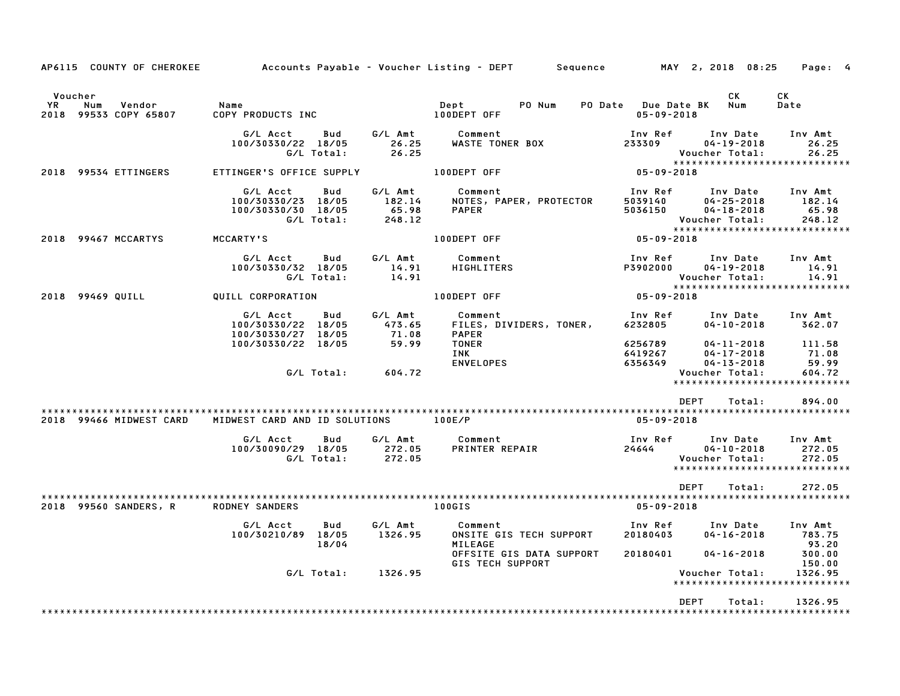|                              | AP6115 COUNTY OF CHEROKEE         |                                                                           |                                      | Accounts Payable – Voucher Listing – DEPT         Sequence                       |                                             | MAY 2, 2018 08:25                                                  | Page: 4                                                      |
|------------------------------|-----------------------------------|---------------------------------------------------------------------------|--------------------------------------|----------------------------------------------------------------------------------|---------------------------------------------|--------------------------------------------------------------------|--------------------------------------------------------------|
| Voucher<br><b>YR</b><br>2018 | Num<br>Vendor<br>99533 COPY 65807 | Name<br>COPY PRODUCTS INC                                                 |                                      | PO Num<br>Dept<br>100DEPT OFF                                                    | PO Date Due Date BK Num<br>$05 - 09 - 2018$ | CK                                                                 | СK<br>Date                                                   |
|                              |                                   | Bud<br>G/L Acct<br>100/30330/22 18/05<br>G/L Total:                       | G/L Amt<br>26.25<br>26.25            | Comment<br><b>WASTE TONER BOX</b>                                                | Inv Ref<br>233309                           | Inv Date<br>$04 - 19 - 2018$<br>Voucher Total:                     | Inv Amt<br>26.25<br>26.25                                    |
|                              | 2018 99534 ETTINGERS              | ETTINGER'S OFFICE SUPPLY                                                  |                                      | 100DEPT OFF                                                                      | $05 - 09 - 2018$                            |                                                                    | *****************************                                |
|                              |                                   | G/L Acct<br>Bud<br>100/30330/23 18/05<br>100/30330/30 18/05<br>G/L Total: | G/L Amt<br>182.14<br>65.98<br>248.12 | Comment<br>NOTES, PAPER, PROTECTOR<br><b>PAPER</b>                               | Inv Ref<br>5039140<br>5036150               | Inv Date<br>$04 - 25 - 2018$<br>$04 - 18 - 2018$<br>Voucher Total: | Inv Amt<br>182.14<br>65.98<br>248.12                         |
|                              | 2018 99467 MCCARTYS               | MCCARTY'S                                                                 |                                      | 100DEPT OFF                                                                      | $05 - 09 - 2018$                            |                                                                    | *****************************                                |
|                              |                                   | G/L Acct<br>Bud<br>100/30330/32 18/05<br>G/L Total:                       | G/L Amt<br>14.91<br>14.91            | Comment<br><b>HIGHLITERS</b>                                                     | Inv Ref<br>P3902000                         | Inv Date<br>$04 - 19 - 2018$<br>Voucher Total:                     | Inv Amt<br>14.91<br>14.91<br>******************************  |
|                              | 2018 99469 QUILL                  | QUILL CORPORATION                                                         |                                      | 100DEPT OFF                                                                      | 05-09-2018                                  |                                                                    |                                                              |
|                              |                                   | G/L Acct<br>Bud<br>100/30330/22 18/05<br>100/30330/27 18/05               | G/L Amt<br>473.65<br>71.08           | Comment<br>FILES, DIVIDERS, TONER,<br><b>PAPER</b>                               | Inv Ref<br>6232805                          | Inv Date<br>$04 - 10 - 2018$                                       | Inv Amt<br>362.07                                            |
|                              |                                   | 100/30330/22 18/05                                                        | 59.99                                | <b>TONER</b><br>INK<br>ENVELOPES                                                 | 6256789<br>6419267<br>6356349               | $04 - 11 - 2018$<br>$04 - 17 - 2018$<br>$04 - 13 - 2018$           | 111.58<br>71.08<br>59.99                                     |
|                              |                                   | G/L Total:                                                                | 604.72                               |                                                                                  |                                             | Voucher Total:                                                     | 604.72<br>*****************************                      |
|                              |                                   |                                                                           |                                      |                                                                                  | <b>DEPT</b>                                 | Total:                                                             | 894.00                                                       |
|                              | 2018 99466 MIDWEST CARD           | MIDWEST CARD AND ID SOLUTIONS                                             |                                      | 100E/P                                                                           | $05 - 09 - 2018$                            |                                                                    |                                                              |
|                              |                                   | G/L Acct<br>Bud<br>100/30090/29 18/05<br>G/L Total:                       | G/L Amt<br>272.05<br>272.05          | Comment<br>PRINTER REPAIR                                                        | Inv Ref<br>24644                            | Inv Date<br>$04 - 10 - 2018$<br>Voucher Total:                     | Inv Amt<br>272.05<br>272.05<br>***************************** |
|                              |                                   |                                                                           |                                      |                                                                                  | DEPT                                        | Total:                                                             | 272.05                                                       |
|                              | 2018 99560 SANDERS, R             | <b>RODNEY SANDERS</b>                                                     |                                      | 100GIS                                                                           | 05-09-2018                                  |                                                                    |                                                              |
|                              |                                   | G/L Acct<br>Bud<br>100/30210/89 18/05<br>18/04                            | G/L Amt<br>1326.95                   | Comment<br>ONSITE GIS TECH SUPPORT<br><b>MILEAGE</b><br>OFFSITE GIS DATA SUPPORT | Inv Ref<br>20180403<br>20180401             | Inv Date<br>$04 - 16 - 2018$<br>04-16-2018                         | Inv Amt<br>783.75<br>93.20<br>300.00                         |
|                              |                                   | G/L Total:                                                                | 1326.95                              | GIS TECH SUPPORT                                                                 |                                             | Voucher Total:                                                     | 150.00<br>1326.95<br>*****************************           |
|                              |                                   |                                                                           |                                      |                                                                                  | <b>DEPT</b>                                 | Total:                                                             | 1326.95                                                      |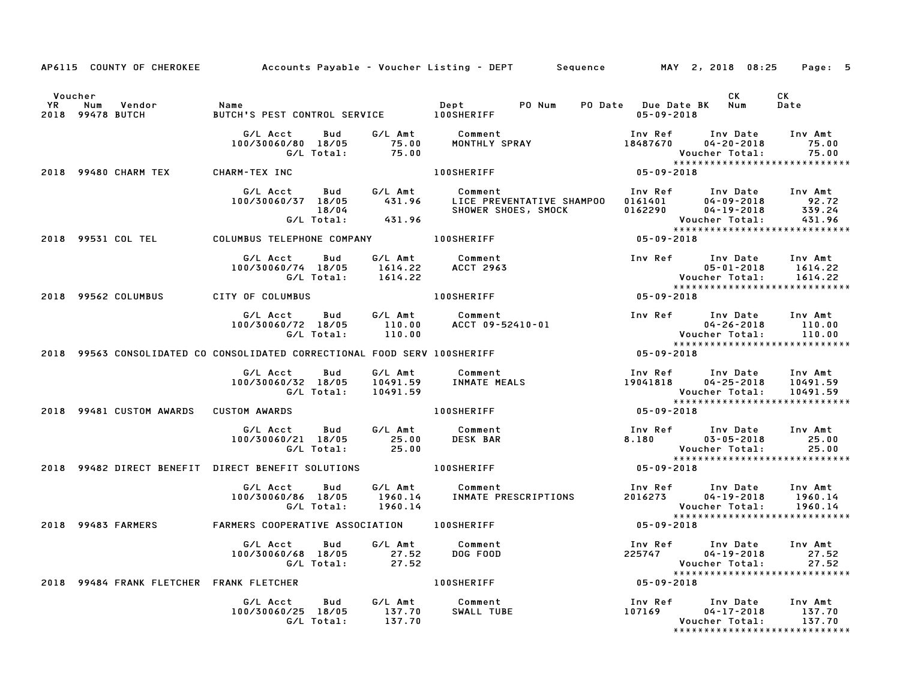|                       |     |                                          |                                                                              |                                        | AP6115 COUNTY OF CHEROKEE Accounts Payable - Voucher Listing - DEPT Sequence MAY 2, 2018 08:25 Page: 5                                                                                               |                  |                                                                                                          |                                 |
|-----------------------|-----|------------------------------------------|------------------------------------------------------------------------------|----------------------------------------|------------------------------------------------------------------------------------------------------------------------------------------------------------------------------------------------------|------------------|----------------------------------------------------------------------------------------------------------|---------------------------------|
| Voucher<br>YR<br>2018 | Num | Vendor<br>99478 BUTCH                    | Name<br>BUTCH'S PEST CONTROL SERVICE 100SHERIFF                              |                                        | Dept PO Num                                                                                                                                                                                          | $05 - 09 - 2018$ | CK<br>PO Date Due Date BK Num                                                                            | CK<br>Date                      |
|                       |     |                                          | G/L Acct<br>Bud<br>100/30060/80 18/05<br>G/L Total:                          | 75.00<br>75.00                         | G/L Amt Comment<br>75.00 MONTHLY SI<br>MONTHLY SPRAY                                                                                                                                                 | 18487670         | Inv Ref      Inv Date<br>04-20-2018<br>Voucher Total:<br>*****************************                   | Inv Amt<br>75.00<br>75.00       |
|                       |     | 2018 99480 CHARM TEX                     | CHARM-TEX INC                                                                |                                        | <b>100SHERIFF</b>                                                                                                                                                                                    | $05 - 09 - 2018$ |                                                                                                          |                                 |
|                       |     |                                          | G/L Acct Bud<br>100/30060/37 18/05<br>18/04                                  | G/L Amt<br>431.96<br>G/L Total: 431.96 | Comment<br>LICE PREVENTATIVE SHAMPOO     0161401           04-09-2018                92.72<br>SHOWER SHOES, SMOCK                0162290           04-19-2018          339.24<br>SHOWER SHOES, SMOCK |                  | Inv Ref Inv Date Inv Amt<br>Voucher Total:                                                               | 431.96                          |
|                       |     | 2018 99531 COL TEL                       | COLUMBUS TELEPHONE COMPANY 100SHERIFF                                        |                                        |                                                                                                                                                                                                      | 05-09-2018       | *****************************                                                                            |                                 |
|                       |     |                                          | G/L Acct   Bud<br>100/30060/74 18/05 1614.22 ACCT 2963<br>G/L Total: 1614.22 |                                        | G/L Amt Comment                                                                                                                                                                                      |                  | Inv Ref      Inv Date     Inv Amt<br>$05 - 01 - 2018$<br>Voucher Total:<br>***************************** | 1614.22<br>1614.22              |
|                       |     | 2018 99562 COLUMBUS                      | CITY OF COLUMBUS                                                             |                                        | <b>100SHERIFF</b>                                                                                                                                                                                    | $05 - 09 - 2018$ |                                                                                                          |                                 |
|                       |     |                                          | G/L Acct Bud<br>100/30060/72 18/05<br>G/L Total:                             | G/L Amt<br>110.00<br>110.00            |                                                                                                                                                                                                      |                  | 04-26-2018 110.00<br>04-26-2018<br>:Voucher Total                                                        | Inv Amt<br>110.00               |
|                       |     |                                          | 2018 99563 CONSOLIDATED CO CONSOLIDATED CORRECTIONAL FOOD SERV 100SHERIFF    |                                        |                                                                                                                                                                                                      | $05 - 09 - 2018$ |                                                                                                          |                                 |
|                       |     |                                          | G/L Acct<br>Bud<br>100/30060/32 18/05<br>G/L Total:                          | G/L Amt<br>10491.59                    | Comment                                                                                                                                                                                              | 10041818         | Inv Ref      Inv Date<br>04-25-2018<br>Voucher Total:<br>*****************************                   | Inv Amt<br>10491.59<br>10491.59 |
|                       |     | 2018 99481 CUSTOM AWARDS                 | <b>CUSTOM AWARDS</b>                                                         |                                        | <b>100SHERIFF</b>                                                                                                                                                                                    | 05-09-2018       |                                                                                                          |                                 |
|                       |     |                                          | G/L Acct Bud<br>100/30060/21 18/05<br>G/L Total:                             | G/L Amt<br>25.00<br>25.00              | Comment<br><b>DESK BAR</b>                                                                                                                                                                           |                  | Inv Ref Inv Date Inv Amt<br>$8.180$ $03 - 05 - 2018$<br>Voucher Total:<br>*****************************  | 25.00<br>25.00                  |
|                       |     |                                          | 2018 99482 DIRECT BENEFIT DIRECT BENEFIT SOLUTIONS 400 100SHERIFF            |                                        |                                                                                                                                                                                                      | $05 - 09 - 2018$ |                                                                                                          |                                 |
|                       |     |                                          | G/L Acct<br>Bud<br>100/30060/86 18/05<br>G/L Total:                          | G/L Amt<br>1960.14<br>1960.14          | Comment<br>INMATE PRESCRIPTIONS                                                                                                                                                                      |                  | Inv Ref Inv Date<br>2016273 04-19-2018<br>Voucher Total:                                                 | Inv Amt<br>1960.14<br>1960.14   |
|                       |     | 2018 99483 FARMERS                       | FARMERS COOPERATIVE ASSOCIATION 100SHERIFF                                   |                                        |                                                                                                                                                                                                      | 05-09-2018       |                                                                                                          |                                 |
|                       |     |                                          | G/L Acct<br>Bud<br>100/30060/68 18/05<br>G/L Total:                          | 27.52<br>27.52                         | G/L Amt Comment<br>27.52 DOG FOOD                                                                                                                                                                    |                  | Inv Ref Inv Date<br>225747 04–19–2018<br>Voucher Total:<br>*****************************                 | Inv Amt<br>27.52<br>27.52       |
|                       |     | 2018 99484 FRANK FLETCHER FRANK FLETCHER |                                                                              |                                        | <b>100SHERIFF</b>                                                                                                                                                                                    | $05 - 09 - 2018$ |                                                                                                          |                                 |
|                       |     |                                          | Bud<br>G/L Acct<br>100/30060/25 18/05<br>G/L Total:                          | G/L Amt<br>137.70<br>137.70            | Comment<br>SWALL TUBE                                                                                                                                                                                | 107169           | Inv Ref      Inv Date<br>$04 - 17 - 2018$<br>Voucher Total:<br>*****************************             | Inv Amt<br>137.70<br>137.70     |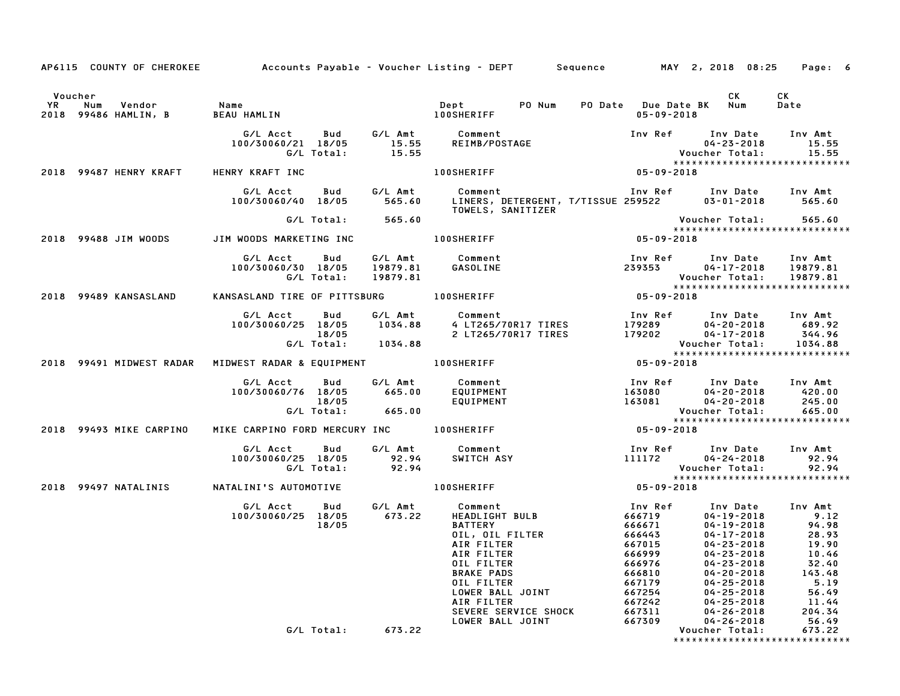|                      |                                       | AP6115 COUNTY OF CHEROKEE Accounts Payable - Voucher Listing - DEPT Sequence MAY 2, 2018 08:25 |                               |                                                                                                                                                                                                              |                                                                                                                       |                                                                                                                                                                                                              | Page: 6                                                                                                    |
|----------------------|---------------------------------------|------------------------------------------------------------------------------------------------|-------------------------------|--------------------------------------------------------------------------------------------------------------------------------------------------------------------------------------------------------------|-----------------------------------------------------------------------------------------------------------------------|--------------------------------------------------------------------------------------------------------------------------------------------------------------------------------------------------------------|------------------------------------------------------------------------------------------------------------|
| Voucher<br><b>YR</b> |                                       | Name                                                                                           |                               | Dept PONum                                                                                                                                                                                                   |                                                                                                                       | CK                                                                                                                                                                                                           | CK<br>Date                                                                                                 |
|                      | Num<br>Vendor<br>2018 99486 HAMLIN, B | BEAU HAMLIN                                                                                    |                               | <b>100SHERIFF</b>                                                                                                                                                                                            | PO Date Due Date BK Num<br>$05 - 09 - 2018$                                                                           |                                                                                                                                                                                                              |                                                                                                            |
|                      |                                       | G/L Acct<br>Bud<br>100/30060/21 18/05<br>G/L Total:                                            | 15.55<br>15.55                | G/L Amt Comment<br>REIMB/POSTAGE                                                                                                                                                                             |                                                                                                                       | Inv Ref Inv Date Inv Amt<br>04-23-2018<br><b>Voucher Total:</b><br>*****************************                                                                                                             | 15.55<br>15.55                                                                                             |
|                      | 2018 99487 HENRY KRAFT                | HENRY KRAFT INC                                                                                |                               | <b>100SHERIFF</b>                                                                                                                                                                                            | 05-09-2018                                                                                                            |                                                                                                                                                                                                              |                                                                                                            |
|                      |                                       | G/L Acct<br>Bud<br>100/30060/40 18/05                                                          | G/L Amt<br>565.60             | Comment<br>LINERS, DETERGENT, T/TISSUE 259522<br>TOWELS, SANITIZER                                                                                                                                           |                                                                                                                       | Inv Ref Inv Date Inv Amt<br>03-01-2018                                                                                                                                                                       | 565.60                                                                                                     |
|                      |                                       | G/L Total:                                                                                     | 565.60                        |                                                                                                                                                                                                              |                                                                                                                       | Voucher Total:<br>*****************************                                                                                                                                                              | 565.60                                                                                                     |
|                      | 2018 99488 JIM WOODS                  | JIM WOODS MARKETING INC                                                                        |                               | <b>100SHERIFF</b>                                                                                                                                                                                            | 05-09-2018                                                                                                            |                                                                                                                                                                                                              |                                                                                                            |
|                      |                                       | G/L Acct<br>Bud<br>100/30060/30 18/05<br>G/L Total:                                            | 19879.81<br>19879.81          | G/L Amt Comment<br>GASOLINE                                                                                                                                                                                  | 239353                                                                                                                | Inv Ref Inv Date Inv Amt<br>04-17-2018 19879.81<br>Voucher Total:<br>*****************************                                                                                                           | 19879.81                                                                                                   |
|                      | 2018 99489 KANSASLAND                 | KANSASLAND TIRE OF PITTSBURG 100SHERIFF                                                        |                               |                                                                                                                                                                                                              | $05 - 09 - 2018$                                                                                                      |                                                                                                                                                                                                              |                                                                                                            |
|                      |                                       | G/L Acct<br>Bud<br>100/30060/25 18/05<br>18/05                                                 | 1034.88<br>G/L Total: 1034.88 | G/L Amt Comment<br>4 LT265/70R17 TIRES<br>2 LT265/70R17 TIRES                                                                                                                                                | 179289<br>179202                                                                                                      | Inv Ref      Inv Date     Inv Amt<br>04-20-2018<br>04-17-2018<br>Voucher Total:<br>*****************************                                                                                             | 689.92<br>344.96<br>1034.88                                                                                |
|                      | 2018 99491 MIDWEST RADAR              | MIDWEST RADAR & EQUIPMENT                                                                      |                               | <b>100SHERIFF</b>                                                                                                                                                                                            | 05-09-2018                                                                                                            |                                                                                                                                                                                                              |                                                                                                            |
|                      |                                       | G/L Acct<br>Bud<br>100/30060/76 18/05<br>18/05<br>G/L Total: 665.00                            | G/L Amt<br>665.00             | Comment<br>EQUIPMENT<br>EQUIPMENT                                                                                                                                                                            | 163080<br>163081                                                                                                      | Inv Ref      Inv Date<br>$04 - 20 - 2018$<br>$04 - 20 - 2018$<br>Voucher Total:<br>*****************************                                                                                             | Inv Amt<br>420.00<br>245.00<br>665.00                                                                      |
|                      | 2018 99493 MIKE CARPINO               | MIKE CARPINO FORD MERCURY INC 100SHERIFF                                                       |                               |                                                                                                                                                                                                              | 05-09-2018                                                                                                            |                                                                                                                                                                                                              |                                                                                                            |
|                      |                                       | G/L Acct<br>Bud<br>100/30060/25 18/05<br>G/L Total:                                            | 92.94<br>92.94                | G/L Amt Comment<br>SWITCH ASY                                                                                                                                                                                | 111172                                                                                                                | Inv Ref      Inv Date<br>04-24-2018<br>Voucher Total:<br>*****************************                                                                                                                       | Inv Amt<br>92.94<br>92.94                                                                                  |
|                      | 2018 99497 NATALINIS                  | NATALINI'S AUTOMOTIVE                                                                          |                               | <b>100SHERIFF</b>                                                                                                                                                                                            | $05 - 09 - 2018$                                                                                                      |                                                                                                                                                                                                              |                                                                                                            |
|                      |                                       | G/L Acct<br>Bud<br>100/30060/25 18/05<br>18/05                                                 | G⁄L Amt<br>673.22             | Comment<br><b>HEADLIGHT BULB</b><br><b>BATTERY</b><br>OIL, OIL FILTER<br>AIR FILTER<br>AIR FILTER<br>OIL FILTER<br><b>BRAKE PADS</b><br>OIL FILTER<br>LOWER BALL JOINT<br>AIR FILTER<br>SEVERE SERVICE SHOCK | Inv Ref<br>666719<br>666671<br>666443<br>667015<br>666999<br>666976<br>666810<br>667179<br>667254<br>667242<br>667311 | Inv Date<br>04-19-2018<br>$04 - 19 - 2018$<br>$04 - 17 - 2018$<br>$04 - 23 - 2018$<br>04-23-2018<br>$04 - 23 - 2018$<br>04-20-2018<br>$04 - 25 - 2018$<br>04-25-2018<br>$04 - 25 - 2018$<br>$04 - 26 - 2018$ | Inv Amt<br>9.12<br>94.98<br>28.93<br>19.90<br>10.46<br>32.40<br>143.48<br>5.19<br>56.49<br>11.44<br>204.34 |
|                      |                                       | G/L Total:                                                                                     | 673.22                        | LOWER BALL JOINT                                                                                                                                                                                             | 667309                                                                                                                | 04-26-2018<br>Voucher Total:<br>*****************************                                                                                                                                                | 56.49<br>673.22                                                                                            |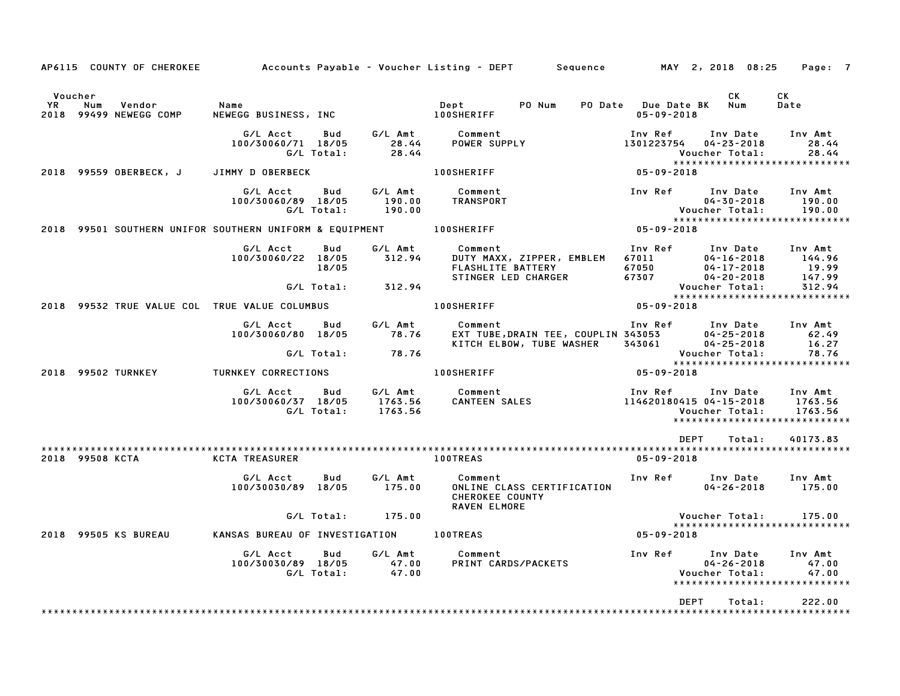|               |                                                                    |                                                   |                          |                               | AP6115 COUNTY OF CHEROKEE Accounts Payable - Voucher Listing - DEPT Sequence MAY 2, 2018 08:25                                                                                             |                                                          |                                                | Page: 7                                                    |
|---------------|--------------------------------------------------------------------|---------------------------------------------------|--------------------------|-------------------------------|--------------------------------------------------------------------------------------------------------------------------------------------------------------------------------------------|----------------------------------------------------------|------------------------------------------------|------------------------------------------------------------|
| Voucher<br>YR | Num<br>Vendor<br>2018 99499 NEWEGG COMP                            | Name<br>NEWEGG BUSINESS, INC NEWEGG BUSINESS, INC |                          |                               | PO Num<br>Dept                                                                                                                                                                             | PO Date Due Date BK Num<br>$05 - 09 - 2018$              | <b>CK</b>                                      | СK<br>Date                                                 |
|               |                                                                    | G/L Acct<br>100/30060/71 18/05                    | Bud<br>G/L Total:        | 28.44<br>28.44                | G/L Amt Comment<br>POWER SUPPLY                                                                                                                                                            | Inv Ref<br>1301223754                                    | Inv Date<br>$04 - 23 - 2018$<br>Voucher Total: | Inv Amt<br>28.44<br>28.44<br>***************************** |
|               | 2018 99559 OBERBECK, J                                             | JIMMY D OBERBECK                                  |                          |                               | <b>100SHERIFF</b>                                                                                                                                                                          | 05-09-2018                                               |                                                |                                                            |
|               |                                                                    | G/L Acct<br>100/30060/89 18/05                    | Bud<br>G/L Total:        | G/L Amt<br>190.00<br>190.00   | Comment<br>TRANSPORT                                                                                                                                                                       | Inv Ref Inv Date Inv Amt                                 | $04 - 30 - 2018$<br>Voucher Total:             | 190.00<br>190.00<br>*****************************          |
|               | 2018 99501 SOUTHERN UNIFOR SOUTHERN UNIFORM & EQUIPMENT 100SHERIFF |                                                   |                          |                               |                                                                                                                                                                                            | $05 - 09 - 2018$                                         |                                                |                                                            |
|               |                                                                    | G/L Acct<br>100/30060/22 18/05                    | Bud<br>18/05             | G/L Amt<br>312.94             | Comment<br>04-16-2018<br>PUTY MAXX, ZIPPER, EMBLEM 67011<br>FLASHLITE BATTERY 67050 04-17-2018<br>STINGER LED CHARGER 67307 04-20-2018<br><b>FLASHLITE BATTERY<br/>STINGER LED CHARGER</b> | Inv Ref      Inv Date     Inv Amt                        |                                                | 144.96<br>19.99<br>147.99                                  |
|               |                                                                    |                                                   |                          | G/L Total: 312.94             |                                                                                                                                                                                            |                                                          | Voucher Total:                                 | 312.94<br>*****************************                    |
|               | 2018 99532 TRUE VALUE COL TRUE VALUE COLUMBUS                      |                                                   |                          |                               | <b>100SHERIFF</b>                                                                                                                                                                          | $05 - 09 - 2018$                                         |                                                |                                                            |
|               |                                                                    | G/L Acct<br>100/30060/80 18/05                    | Bud                      | G/L Amt<br>78.76              | Comment<br>EXT TUBE, DRAIN TEE, COUPLIN 343053<br>KITCH ELBOW, TUBE WASHER 343061                                                                                                          | Inv Ref Inv Date Inv Amt                                 | $04 - 25 - 2018$<br>04-25-2018                 | 62.49<br>16.27                                             |
|               |                                                                    |                                                   | G/L Total:               | 78.76                         |                                                                                                                                                                                            |                                                          | Voucher Total:                                 | 78.76<br>******************************                    |
|               | 2018 99502 TURNKEY                                                 | TURNKEY CORRECTIONS                               |                          |                               | <b>100SHERIFF</b>                                                                                                                                                                          | 05-09-2018                                               |                                                |                                                            |
|               |                                                                    | G/L Acct<br>100/30060/37 18/05                    | <b>Bud</b><br>G/L Total: | G/L Amt<br>1763.56<br>1763.56 | Comment<br>CANTEEN SALES                                                                                                                                                                   | Inv Ref      Inv Date<br>114620180415 04-15-2018 1763.56 | Voucher Total:                                 | Inv Amt<br>1763.56<br>*****************************        |
|               |                                                                    |                                                   |                          |                               |                                                                                                                                                                                            | <b>DEPT</b>                                              | Total:                                         | 40173.83                                                   |
|               | 2018 99508 KCTA                                                    | KCTA TREASURER                                    |                          |                               | <b>100TREAS</b>                                                                                                                                                                            | $05 - 09 - 2018$                                         |                                                |                                                            |
|               |                                                                    | G/L Acct<br>100/30030/89 18/05                    | Bud                      | G/L Amt<br>175.00             | Comment<br>ONLINE CLASS CERTIFICATION<br><b>CHEROKEE COUNTY</b><br><b>RAVEN ELMORE</b>                                                                                                     | Inv Ref Inv Date                                         | $04 - 26 - 2018$                               | Inv Amt<br>175.00                                          |
|               |                                                                    |                                                   | G/L Total:               | 175.00                        |                                                                                                                                                                                            |                                                          | Voucher Total:                                 | 175.00<br>*****************************                    |
|               | 2018 99505 KS BUREAU                                               |                                                   |                          |                               |                                                                                                                                                                                            | 05-09-2018                                               |                                                |                                                            |
|               |                                                                    | G/L Acct<br>100/30030/89 18/05                    | Bud<br>G/L Total:        | 47.00<br>47.00                | G/L Amt Comment<br>47.00 PRINT CARDS/PACKETS                                                                                                                                               | Inv Ref                                                  | Inv Date<br>$04 - 26 - 2018$<br>Voucher Total: | Inv Amt<br>47.00<br>47.00<br>***************************** |
|               |                                                                    |                                                   |                          |                               |                                                                                                                                                                                            | <b>DEPT</b>                                              | Total:                                         | 222.00                                                     |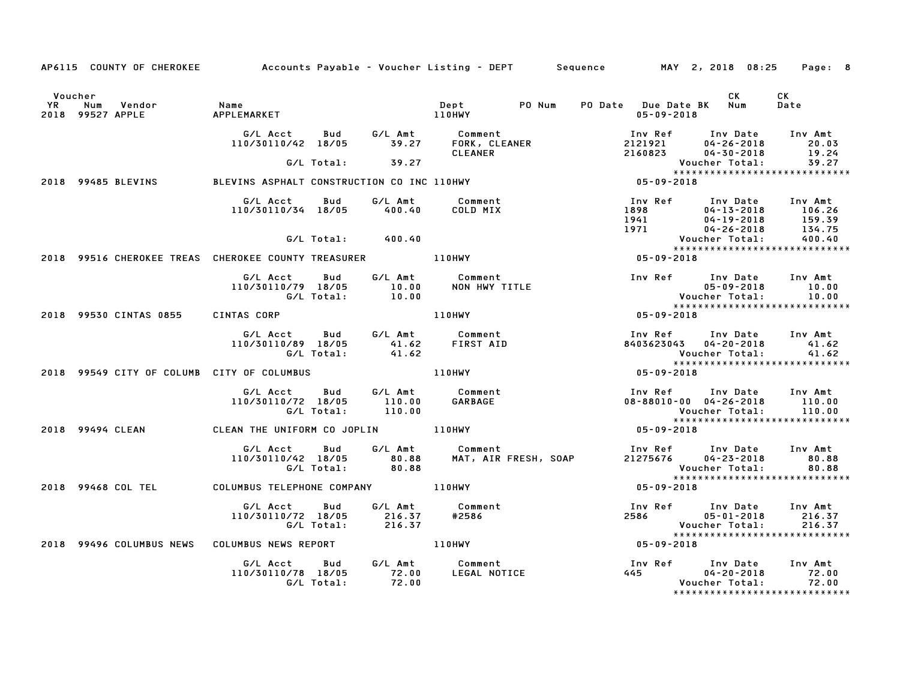| AP6115 COUNTY OF CHEROKEE Accounts Payable - Voucher Listing - DEPT Sequence MAY 2, 2018 08:25 |                                                                                                                            |                              |        |                                                      |  |                                       |                                                               | Page: 8                                                                                                                                                            |
|------------------------------------------------------------------------------------------------|----------------------------------------------------------------------------------------------------------------------------|------------------------------|--------|------------------------------------------------------|--|---------------------------------------|---------------------------------------------------------------|--------------------------------------------------------------------------------------------------------------------------------------------------------------------|
| Voucher<br>YR Num Vendor   Name<br>2018 99527 APPLE     APPLEMARKET                            |                                                                                                                            |                              |        |                                                      |  | PO Date Due Date BK Num<br>05-09-2018 | CK.                                                           | CK<br>Date                                                                                                                                                         |
|                                                                                                | 'LEMARREI<br>G/L Acct   Bud     G/L Amt       Comment<br>110/30110/42   18/05          39.27      FORK, CLEANER<br>CLEANER |                              |        |                                                      |  |                                       |                                                               | 1nv Ref 1nv Date 1nv Amt<br>2121921 04-26-2018 20.03<br>2160823 04-30-2018 19.24                                                                                   |
|                                                                                                |                                                                                                                            | $G/L$ Total: $39.27$         |        |                                                      |  |                                       |                                                               | $\bar{39.27}$<br>Voucher Total: 39.27<br>****************************                                                                                              |
| 2018 99485 BLEVINS                                                                             | BLEVINS ASPHALT CONSTRUCTION CO INC 110HWY                                                                                 |                              |        |                                                      |  | $8444$<br>$8444$<br>05-09-2018        |                                                               |                                                                                                                                                                    |
|                                                                                                | G/L Acct<br>110/30110/34 18/05 400.40                                                                                      | Bud                          |        | G/L Amt Comment<br>COLD MIX                          |  |                                       |                                                               | Inv Ref Inv Date Inv Amt<br>1898 04-13-2018 106.26<br>1941 04-19-2018 159.39<br>1971 04-26-2018 134.75<br>Voucher Total: 400.40<br>******************************* |
|                                                                                                |                                                                                                                            | G/L Total: 400.40            |        |                                                      |  |                                       |                                                               |                                                                                                                                                                    |
| 2018 99516 CHEROKEE TREAS CHEROKEE COUNTY TREASURER THE LIDHWY                                 |                                                                                                                            |                              |        |                                                      |  | Vouc<br>* * * * *<br>18–09 - 09       |                                                               | *****************************                                                                                                                                      |
|                                                                                                | G/L Acct Bud G/L Amt<br>110/30110/79 18/05 10.00<br>G/L Total: 10.00                                                       |                              |        | G/L Amt Comment<br>10.00 NON HWY TI<br>NON HWY TITLE |  |                                       | Voucher Total:                                                | Inv Ref Inv Date Inv Amt<br>$05 - 09 - 2018$ 10.00<br>10.00                                                                                                        |
| 2018 99530 CINTAS 0855 CINTAS CORP                                                             |                                                                                                                            |                              |        | <b>110HWY</b>                                        |  | $05 - 09 - 2018$                      |                                                               | ******************************                                                                                                                                     |
|                                                                                                | G/L Acct  Bud  G/L Amt  Comment<br>110/30110/89  18/05  41.62  FIRST  AID<br>G/L Total:  41.62                             |                              |        |                                                      |  |                                       | Voucher Total:                                                | Inv Ref Inv Date Inv Amt<br>8403623043  04-20-2018  41.62<br>41.62                                                                                                 |
| 2018 99549 CITY OF COLUMB CITY OF COLUMBUS                                                     |                                                                                                                            |                              | 110HWY |                                                      |  | $05 - 09 - 2018$                      |                                                               | *****************************                                                                                                                                      |
|                                                                                                | G/L Acct Bud<br>110/30110/72 18/05 110.00<br>G/L Total:                                                                    | 110.00                       |        | G/L Amt Comment<br>110.00 GARBAGE                    |  |                                       |                                                               | Inv Ref Inv Date Inv Amt<br>$08 - 88010 - 00$ $04 - 26 - 2018$ 110.00<br>Voucher Total: 110.00<br>******************************                                   |
| 2018 99494 CLEAN CLEAN THE UNIFORM CO JOPLIN 110HWY                                            |                                                                                                                            |                              |        |                                                      |  | $05 - 09 - 2018$                      |                                                               |                                                                                                                                                                    |
|                                                                                                | G/L Acct Bud G/L Amt Comment<br>110/30110/42 18/05 80.88<br>G/L Total: 80.88                                               |                              |        | MAT, AIR FRESH, SOAP                                 |  |                                       | 21275676 04-23-2018<br>Voucher Total:                         | Inv Ref Inv Date Inv Amt<br>80.88<br>80.88<br>*****************************                                                                                        |
| 2018 99468 COL TEL COLUMBUS TELEPHONE COMPANY 110HWY                                           |                                                                                                                            |                              |        |                                                      |  | $05 - 09 - 2018$                      |                                                               |                                                                                                                                                                    |
|                                                                                                | G/L Acct<br>110/30110/72 18/05 216.37<br>G/L Total: 216.37                                                                 | <b>Bud</b>                   |        | G/L Amt Comment<br>Comme<br>2586#                    |  |                                       | 2586 05-01-2018<br>voll8 - 10 - ده<br>: Voucher Total<br>محمد | Inv Ref Inv Date Inv Amt<br>216.37<br>216.37<br>*****************************                                                                                      |
| 2018 99496 COLUMBUS NEWS COLUMBUS NEWS REPORT TERRIT THE LIDHWY                                |                                                                                                                            |                              |        |                                                      |  | $05 - 09 - 2018$                      |                                                               |                                                                                                                                                                    |
|                                                                                                | G/L Acct<br>110/30110/78 18/05 72.00<br>G/L Total:                                                                         | Bud G/L Amt Comment<br>72.00 |        | LEGAL NOTICE                                         |  |                                       | 445 04-20-2018<br>Voucher Total:                              | Inv Ref Inv Date Inv Amt<br>72.00<br>72.00                                                                                                                         |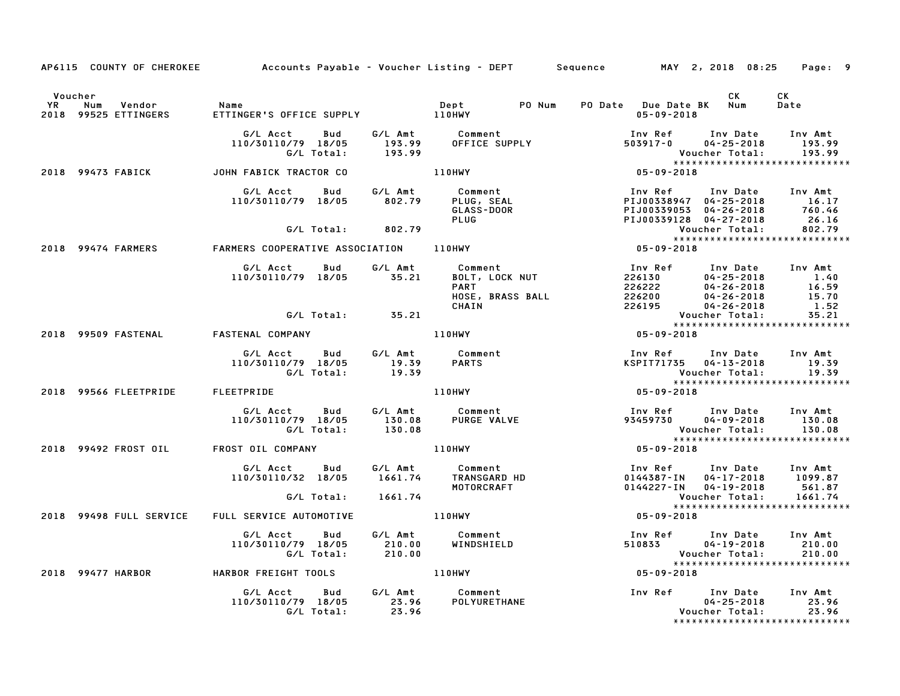|                      |                                       | AP6115 COUNTY OF CHEROKEE Accounts Payable - Voucher Listing - DEPT Sequence MAY 2, 2018 08:25 Page: 9                                                                                                                                  |                                                                                                 |                                                                                                                                                                                                                                               |                                                                              |                                                       |
|----------------------|---------------------------------------|-----------------------------------------------------------------------------------------------------------------------------------------------------------------------------------------------------------------------------------------|-------------------------------------------------------------------------------------------------|-----------------------------------------------------------------------------------------------------------------------------------------------------------------------------------------------------------------------------------------------|------------------------------------------------------------------------------|-------------------------------------------------------|
| Voucher<br><b>YR</b> | Vendor<br>Num<br>2018 99525 ETTINGERS | Name                                                                                                                                                                                                                                    |                                                                                                 | PO Date Due Date BK Num<br>05-09-2018                                                                                                                                                                                                         | CK L                                                                         | CK<br>Date                                            |
|                      |                                       |                                                                                                                                                                                                                                         |                                                                                                 | G/L Acct Bud G/L Amt Comment Inv Ref Inv Date Inv Amt<br>110/30110/79 18/05 193.99 OFFICE SUPPLY 503917-0 04-25-2018 193.99<br>G/L Total: 193.99 OFFICE SUPPLY 503917-0 04-25-2018 193.99<br>HN FABICK TRACTOR CO 110HWY 105-09-2018 15       |                                                                              |                                                       |
|                      |                                       | 2018 99473 FABICK JOHN FABICK TRACTOR CO                                                                                                                                                                                                |                                                                                                 |                                                                                                                                                                                                                                               |                                                                              |                                                       |
|                      |                                       | 6/L Acct Bud 6/L Amt Comment Inv Ref Inv Date Inv Amt<br>110/30110/79 18/05 802.79 PLUG, SEAL PIJ00338947 04-25-2018 16.17<br>6/L Total: 802.79 PLUG PLUG PIJ00339053 04-26-2018 760.46<br>2018 99474 FARMERS COOPERATIVE ASSOCIATION 1 |                                                                                                 |                                                                                                                                                                                                                                               |                                                                              |                                                       |
|                      |                                       |                                                                                                                                                                                                                                         |                                                                                                 |                                                                                                                                                                                                                                               |                                                                              |                                                       |
|                      |                                       |                                                                                                                                                                                                                                         |                                                                                                 |                                                                                                                                                                                                                                               |                                                                              |                                                       |
|                      |                                       |                                                                                                                                                                                                                                         |                                                                                                 | 6/L Acct Bud G/L Amt Comment<br>110/30110/79 18/05 35.21 BOLT, LOCK NUT 226130 04-25-2018 1.40<br>PART 226222 04-26-2018 16.59<br>HOSE, BRASS BALL 226200 04-26-2018 16.59<br>CHAIN 226195 04-26-2018 1.52<br>CHAIN 226195 Voucher Total: 35. |                                                                              |                                                       |
|                      |                                       | G/L Total: 35.21                                                                                                                                                                                                                        |                                                                                                 |                                                                                                                                                                                                                                               |                                                                              | Voucher Total: 35.21<br>***************************** |
|                      | 2018 99509 FASTENAL                   | <b>FASTENAL COMPANY</b>                                                                                                                                                                                                                 |                                                                                                 | $110$ HWY 05-09-2018                                                                                                                                                                                                                          |                                                                              |                                                       |
|                      |                                       |                                                                                                                                                                                                                                         |                                                                                                 | 19.39<br>19.39<br>110HWY<br>110HWY<br>110HWY<br>15-09-2018                                                                                                                                                                                    | Inv Ref Inv Date Inv Amt<br>KSPIT71735 04-13-2018 19.39<br>19.30             |                                                       |
|                      |                                       | 2018 99566 FLEETPRIDE FLEETPRIDE                                                                                                                                                                                                        |                                                                                                 |                                                                                                                                                                                                                                               |                                                                              |                                                       |
|                      |                                       |                                                                                                                                                                                                                                         |                                                                                                 |                                                                                                                                                                                                                                               |                                                                              |                                                       |
|                      |                                       | 2018 99492 FROST OIL FROST OIL COMPANY THE ROST OIL COMPANY                                                                                                                                                                             |                                                                                                 | Voucher Total: 130.08<br>********************************                                                                                                                                                                                     |                                                                              |                                                       |
|                      |                                       |                                                                                                                                                                                                                                         |                                                                                                 | ST OIL COMPANY<br>G/L Acct Bud G/L Amt Comment<br>110/30110/32 18/05 1661.74 TRANSGARD HD 0144387-IN 04-17-2018 1099.87<br>MOTORCRAFT 110/30110/32 18/05 MOTORCRAFT<br>20144227-IN 04-19-2018 561.87<br>MOTORCRAFT 110/10000000000000000      |                                                                              |                                                       |
|                      |                                       |                                                                                                                                                                                                                                         |                                                                                                 |                                                                                                                                                                                                                                               |                                                                              | *****************************                         |
|                      | 2018 99498 FULL SERVICE               |                                                                                                                                                                                                                                         |                                                                                                 |                                                                                                                                                                                                                                               |                                                                              |                                                       |
|                      |                                       |                                                                                                                                                                                                                                         | G/L Acct  Bud  G/L Amt  Comment<br>110/30110/79 18/05  210.00  WINDSHIELD<br>G/L Total:  210.00 | Voucher Total: 210.00<br>****************************                                                                                                                                                                                         | Inv Ref      Inv Date    Inv Amt<br>510833          04-19-2018        210.00 |                                                       |
|                      |                                       | 2018 99477 HARBOR HARBOR FREIGHT TOOLS 110HWY                                                                                                                                                                                           |                                                                                                 | $05 - 09 - 2018$                                                                                                                                                                                                                              |                                                                              |                                                       |
|                      |                                       | G/L Acct Bud G/L Amt Comment<br>110/30110/79 18/05 23.96 POLYURETHANE<br>G/L Total: 23.96                                                                                                                                               |                                                                                                 |                                                                                                                                                                                                                                               |                                                                              | ******************************                        |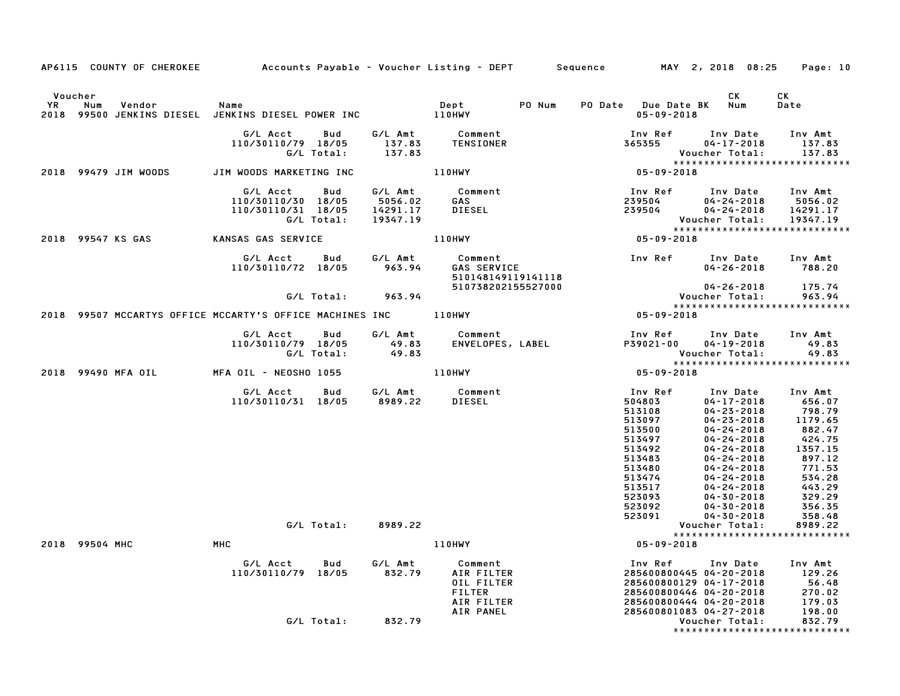|           |                                                                 |                                                      |                   |                                            | AP6115 COUNTY OF CHEROKEE Accounts Payable – Voucher Listing – DEPT Sequence MAY 2, 2018 08:25 |                                                                                                                                           |                                                                                                                                                                                                                                                                                            | Page: 10                                                                                                                                      |
|-----------|-----------------------------------------------------------------|------------------------------------------------------|-------------------|--------------------------------------------|------------------------------------------------------------------------------------------------|-------------------------------------------------------------------------------------------------------------------------------------------|--------------------------------------------------------------------------------------------------------------------------------------------------------------------------------------------------------------------------------------------------------------------------------------------|-----------------------------------------------------------------------------------------------------------------------------------------------|
|           | Voucher                                                         |                                                      |                   |                                            |                                                                                                |                                                                                                                                           | CK                                                                                                                                                                                                                                                                                         | CK                                                                                                                                            |
| <b>YR</b> | Num<br>Vendor                                                   | Name                                                 |                   |                                            | Dept PO Num                                                                                    | PO Date Due Date BK Num<br>$05 - 09 - 2018$                                                                                               |                                                                                                                                                                                                                                                                                            | Date                                                                                                                                          |
|           |                                                                 | G/L Acct<br>110/30110/79 18/05                       | Bud<br>G/L Total: | 137.83<br>137.83                           | G/L Amt          Comment<br>137.83        TENSIONER<br>TENSIONER                               | Inv Ref<br>365355<br>Vou<br>* * * * *<br>05- 09- 2018                                                                                     | Inv Date Inv Amt<br>$04 - 17 - 2018$<br>Voucher Total:<br>*****************************                                                                                                                                                                                                    | 137.83<br>137.83                                                                                                                              |
|           | 2018 99479 JIM WOODS                                            | JIM WOODS MARKETING INC                              |                   |                                            | 110HWY                                                                                         |                                                                                                                                           |                                                                                                                                                                                                                                                                                            |                                                                                                                                               |
|           |                                                                 | G/L Acct<br>110/30110/30 18/05<br>110/30110/31 18/05 | Bud<br>G/L Total: | G/L Amt<br>5056.02<br>14291.17<br>19347.19 | Comment<br><b>GAS</b><br><b>DIESEL</b>                                                         | Inv Ref                                                                                                                                   | Inv Date Inv Amt<br>239504 04-24-2018 5056.02<br>239504 04-24-2018 14291.17<br>Voucher Total:<br>*****************************                                                                                                                                                             | 19347.19                                                                                                                                      |
|           | 2018 99547 KS GAS                                               | <b>KANSAS GAS SERVICE</b>                            |                   |                                            | 110HWY                                                                                         |                                                                                                                                           |                                                                                                                                                                                                                                                                                            |                                                                                                                                               |
|           |                                                                 | G/L Acct<br>110/30110/72 18/05                       |                   |                                            | 510148149119141118                                                                             | Inv Ref     Inv Date    Inv Amt                                                                                                           | $04 - 26 - 2018$                                                                                                                                                                                                                                                                           | 788.20                                                                                                                                        |
|           |                                                                 |                                                      |                   | G/L Total: 963.94                          | 510738202155527000                                                                             |                                                                                                                                           | $04 - 26 - 2018$<br>Voucher Total:                                                                                                                                                                                                                                                         | 175.74<br>963.94                                                                                                                              |
|           | 2018 99507 MCCARTYS OFFICE MCCARTY'S OFFICE MACHINES INC 110HWY |                                                      |                   |                                            |                                                                                                | $05 - 09 - 2018$                                                                                                                          | *****************************                                                                                                                                                                                                                                                              |                                                                                                                                               |
|           |                                                                 | G/L Acct<br>110/30110/79 18/05                       | Bud<br>G/L Total: | 49.83<br>49.83                             | G/L Amt Comment<br>Comment<br>ENVELOPES, LABEL                                                 | Inv Ref<br>P39021-00                                                                                                                      | Inv Date<br>$04 - 19 - 2018$<br>Voucher Total:                                                                                                                                                                                                                                             | Inv Amt<br>49.83<br>49.83                                                                                                                     |
|           | 2018 99490 MFA OIL MFA OIL - NEOSHO 1055                        |                                                      |                   |                                            | 110HWY                                                                                         | $05 - 09 - 2018$                                                                                                                          | *****************************                                                                                                                                                                                                                                                              |                                                                                                                                               |
|           |                                                                 | G/L Acct<br>110/30110/31 18/05                       | Bud               |                                            | G/L Amt Comment<br>8989.22 DIESEL                                                              | Inv Ref<br>504803<br>513108<br>513097<br>513500<br>513497<br>513492<br>513483<br>513480<br>513474<br>513517<br>523093<br>523092<br>523091 | Inv Date<br>$04 - 17 - 2018$<br>$04 - 23 - 2018$<br>$04 - 23 - 2018$<br>04-24-2018<br>$04 - 24 - 2018$<br>$04 - 24 - 2018$<br>$04 - 24 - 2018$<br>$04 - 24 - 2018$<br>$04 - 24 - 2018$<br>$04 - 24 - 2018$<br>$04 - 24 - 2018$<br>$04 - 30 - 2018$<br>$04 - 30 - 2018$<br>$04 - 30 - 2018$ | Inv Amt<br>656.07<br>798.79<br>$1179.65$<br>882.47<br>424.75<br>1357.15<br>897.12<br>771.53<br>534.28<br>443.29<br>329.29<br>356.35<br>358.48 |
|           |                                                                 |                                                      |                   | G/L Total: 8989.22                         |                                                                                                |                                                                                                                                           | Voucher Total:                                                                                                                                                                                                                                                                             | 8989.22                                                                                                                                       |
|           | 2018 99504 MHC                                                  | MHC                                                  |                   |                                            | 110HWY                                                                                         | $05 - 09 - 2018$                                                                                                                          | *****************************                                                                                                                                                                                                                                                              |                                                                                                                                               |
|           |                                                                 | G/L Acct<br>110/30110/79 18/05                       | <b>Bud</b>        | 832.79                                     | G/L Amt Comment<br>AIR FILTER<br>OIL FILTER<br><b>FILTER</b><br>AIR FILTER                     | Inv Ref                                                                                                                                   | Inv Date Inv Amt<br>285600800445 04-20-2018<br>285600800129 04-17-2018<br>285600800446 04-20-2018<br>285600800444 04-20-2018                                                                                                                                                               | 129.26<br>56.48<br>270.02<br>179.03                                                                                                           |
|           |                                                                 |                                                      | G/L Total:        | 832.79                                     | AIR PANEL                                                                                      |                                                                                                                                           | 285600801083 04-27-2018<br>Voucher Total:<br>*****************************                                                                                                                                                                                                                 | 198.00<br>832.79                                                                                                                              |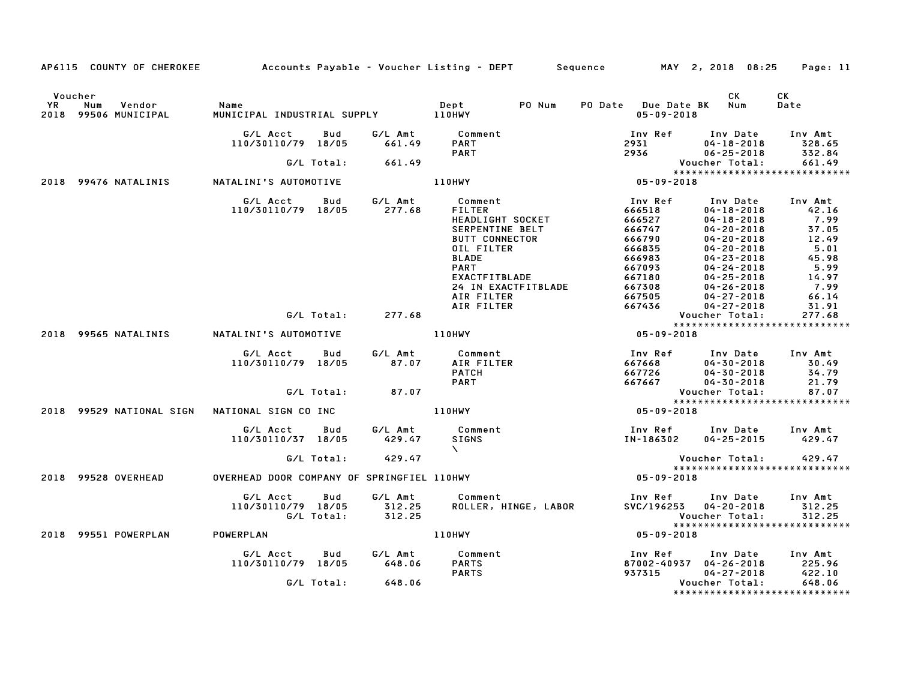|    |                                                  |                                              |                          | AP6115 COUNTY OF CHEROKEE Accounts Payable – Voucher Listing – DEPT Sequence                           |                                                           | MAY 2, 2018 08:25                                                                                            | Page: 11                                                     |
|----|--------------------------------------------------|----------------------------------------------|--------------------------|--------------------------------------------------------------------------------------------------------|-----------------------------------------------------------|--------------------------------------------------------------------------------------------------------------|--------------------------------------------------------------|
| YR | Voucher<br>Num<br>Vendor<br>2018 99506 MUNICIPAL | Name                                         |                          | Dept<br>PO Num                                                                                         | PO Date Due Date BK Num<br>$05 - 09 - 2018$               | CK                                                                                                           | СK<br>Date                                                   |
|    |                                                  | G/L Acct<br>110/30110/79 18/05               | G/L Amt<br>Bud<br>661.49 | Comment<br><b>PART</b>                                                                                 | Inv Ref Inv Date<br>2931                                  | $04 - 18 - 2018$                                                                                             | Inv Amt<br>328.65                                            |
|    |                                                  | G/L Total:                                   | 661.49                   | <b>PART</b>                                                                                            | 2936                                                      | $06 - 25 - 2018$<br>Voucher Total:                                                                           | 332.84<br>661.49                                             |
|    | 2018 99476 NATALINIS                             | NATALINI'S AUTOMOTIVE                        |                          | <b>110HWY</b>                                                                                          | $05 - 09 - 2018$                                          |                                                                                                              |                                                              |
|    |                                                  |                                              |                          |                                                                                                        |                                                           |                                                                                                              |                                                              |
|    |                                                  | G/L Acct<br>110/30110/79 18/05               | G/L Amt<br>Bud<br>277.68 | Comment<br><b>FILTER</b><br>HEADLIGHT SOCKET<br>SERPENTINE BELT<br><b>BUTT CONNECTOR</b><br>OIL FILTER | Inv Ref<br>666518<br>666527<br>666747<br>666790<br>666835 | Inv Date<br>$04 - 18 - 2018$<br>$04 - 18 - 2018$<br>$04 - 20 - 2018$<br>$04 - 20 - 2018$<br>$04 - 20 - 2018$ | Inv Amt<br>42.16<br>7.99<br>37.05<br>12.49<br>5.01           |
|    |                                                  |                                              |                          | <b>BLADE</b><br><b>PART</b><br>EXACTFITBLADE                                                           | 666983<br>667093<br>667180                                | $04 - 23 - 2018$<br>$04 - 24 - 2018$<br>$04 - 25 - 2018$                                                     | 45.98<br>5.99<br>14.97                                       |
|    |                                                  |                                              |                          | 24 IN EXACTFITBLADE<br>AIR FILTER<br>AIR FILTER                                                        | 667308<br>667505<br>667436                                | $04 - 26 - 2018$<br>$04 - 27 - 2018$<br>$04 - 27 - 2018$                                                     | 7.99<br>66.14<br>31.91                                       |
|    |                                                  |                                              | 277.68<br>G/L Total:     |                                                                                                        |                                                           | Voucher Total:                                                                                               | 277.68<br>*****************************                      |
|    | 2018 99565 NATALINIS                             | NATALINI'S AUTOMOTIVE                        |                          | 110HWY                                                                                                 | $05 - 09 - 2018$                                          |                                                                                                              |                                                              |
|    |                                                  | G/L Acct<br>110/30110/79 18/05               | G/L Amt<br>Bud<br>87.07  | Comment<br>AIR FILTER<br><b>PATCH</b><br><b>PART</b>                                                   | Inv Ref<br>667668<br>667726<br>667667                     | Inv Date<br>$04 - 30 - 2018$<br>$04 - 30 - 2018$<br>$04 - 30 - 2018$                                         | Inv Amt<br>30.49<br>34.79<br>21.79                           |
|    |                                                  | G/L Total:                                   | 87.07                    |                                                                                                        |                                                           | Voucher Total:                                                                                               | 87.07                                                        |
|    |                                                  |                                              |                          |                                                                                                        |                                                           |                                                                                                              | *****************************                                |
|    | 2018 99529 NATIONAL SIGN                         | NATIONAL SIGN CO INC                         |                          | 110HWY                                                                                                 | 05-09-2018                                                |                                                                                                              |                                                              |
|    |                                                  | G/L Acct<br>110/30110/37 18/05               | Bud<br>429.47            | G/L Amt Comment<br><b>SIGNS</b><br>$\Delta$ and $\Delta$                                               | IN-186302                                                 | Inv Ref Inv Date Inv Amt<br>04-25-2015 429.47                                                                |                                                              |
|    |                                                  | G/L Total:                                   | 429.47                   |                                                                                                        |                                                           | Voucher Total:                                                                                               | 429.47<br>*****************************                      |
|    | 2018 99528 OVERHEAD                              | OVERHEAD DOOR COMPANY OF SPRINGFIEL 110HWY   |                          |                                                                                                        | 05-09-2018                                                |                                                                                                              |                                                              |
|    |                                                  | G/L Acct<br>110/30110/79 18/05<br>G/L Total: | Bud<br>312.25<br>312.25  | G/L Amt Comment<br>ROLLER, HINGE, LABOR                                                                | Inv Ref     Inv Date<br>SVC/196253                        | $04 - 20 - 2018$<br>Voucher Total:                                                                           | Inv Amt<br>312.25<br>312.25<br>***************************** |
|    | 2018 99551 POWERPLAN                             | POWERPLAN                                    |                          | <b>110HWY</b>                                                                                          | 05-09-2018                                                |                                                                                                              |                                                              |
|    |                                                  | G/L Acct<br>110/30110/79 18/05               | G/L Amt<br>Bud<br>648.06 | Comment<br><b>PARTS</b><br><b>PARTS</b>                                                                | Inv Ref<br>87002-40937 04-26-2018<br>937315               | Inv Date<br>$04 - 27 - 2018$                                                                                 | Inv Amt<br>225.96<br>422.10                                  |
|    |                                                  | G/L Total:                                   | 648.06                   |                                                                                                        |                                                           | Voucher Total:                                                                                               | 648.06                                                       |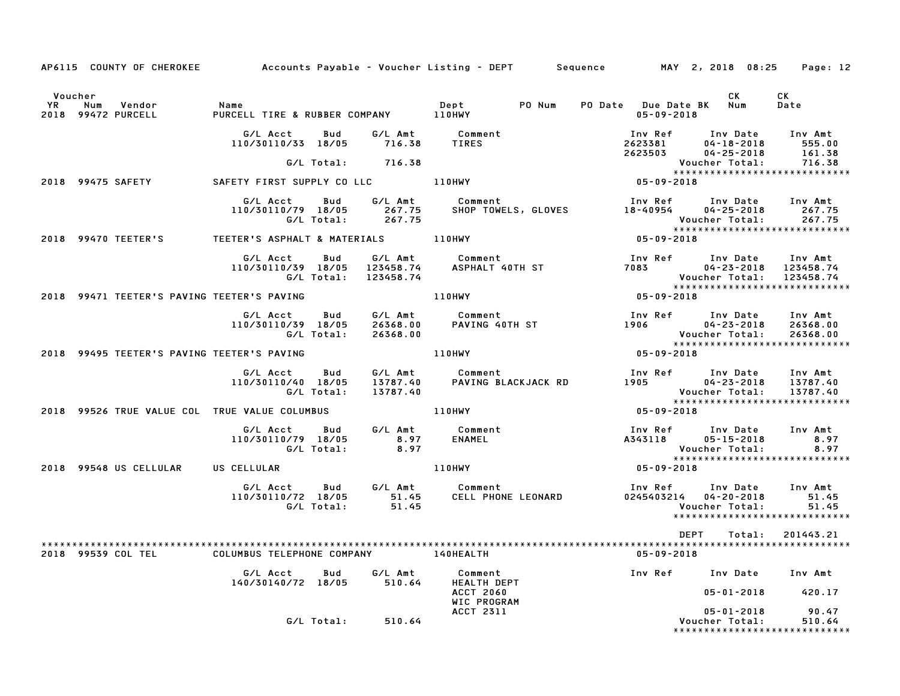|         |                                    | AP6115 COUNTY OF CHEROKEE Accounts Payable - Voucher Listing - DEPT Sequence MAY 2, 2018 08:25 Page: 12                                                                                                                          |                     |                                                                                                                                                                                                                                         |                         |            |            |                                                                                                                                       |  |
|---------|------------------------------------|----------------------------------------------------------------------------------------------------------------------------------------------------------------------------------------------------------------------------------|---------------------|-----------------------------------------------------------------------------------------------------------------------------------------------------------------------------------------------------------------------------------------|-------------------------|------------|------------|---------------------------------------------------------------------------------------------------------------------------------------|--|
| Voucher |                                    | ل المستندي السينية المستندية المستندية المستندية المستندية المستندية المستندية المستندية المستندية المستندية ا<br>2018 110HWY و PURCELL PURCELL TIRE & RUBBER COMPANY المستندية المستندية المستندية المستندية المستندية المستندي |                     |                                                                                                                                                                                                                                         | PO Date Due Date BK Num | 05-09-2018 | <b>CK</b>  | CK<br>Date                                                                                                                            |  |
|         |                                    |                                                                                                                                                                                                                                  |                     | G/L Acct  Bud  G/L Amt  Comment<br>110/30110/33 18/05  716.38  TIRES                                                                                                                                                                    |                         |            |            |                                                                                                                                       |  |
|         |                                    |                                                                                                                                                                                                                                  | G/L Total: 716.38   |                                                                                                                                                                                                                                         |                         |            |            |                                                                                                                                       |  |
|         |                                    | 2018 99475 SAFETY <b>SAFETY FIRST SUPPLY CO LLC</b> 110HWY                                                                                                                                                                       |                     |                                                                                                                                                                                                                                         |                         |            |            |                                                                                                                                       |  |
|         |                                    |                                                                                                                                                                                                                                  |                     | G/L Acct Bud G/L Amt Comment Inv Ref Inv Date Inv Amt<br>110/30110/79 18/05 267.75 SHOP TOWELS, GLOVES 18-40954 04-25-2018 267.75<br>G/L Total: 267.75 SHOP TOWELS, GLOVES 18-40954 Voucher Total: 267.75<br>************************** |                         |            |            |                                                                                                                                       |  |
|         |                                    | 2018 99470 TEETER'S TEETER'S ASPHALT & MATERIALS 110HWY                                                                                                                                                                          |                     |                                                                                                                                                                                                                                         | $05 - 09 - 2018$        |            |            |                                                                                                                                       |  |
|         |                                    |                                                                                                                                                                                                                                  |                     | FIER'S ASPHALI & MAILRAPHLE<br>G/L Acct Bud G/L Amt Comment Inv Ref Inv Date Inv Amt<br>110/30110/39 18/05 123458.74 ASPHALT 40TH ST 7083 04-23-2018 123458.74<br>G/L Total: 123458.74 Voucher Total: 123458.74<br>110HWY 111HWY 05-09  |                         |            |            |                                                                                                                                       |  |
|         |                                    | 2018 99471 TEETER'S PAVING TEETER'S PAVING                                                                                                                                                                                       |                     |                                                                                                                                                                                                                                         |                         |            |            |                                                                                                                                       |  |
|         |                                    |                                                                                                                                                                                                                                  |                     |                                                                                                                                                                                                                                         |                         |            |            |                                                                                                                                       |  |
|         |                                    | 2018 99495 TEETER'S PAVING TEETER'S PAVING                                                                                                                                                                                       |                     | 110HWY TABLE TO A LOCAL THE TABLE TO A LOCAL THE TABLE TO A LOCAL THE TABLE                                                                                                                                                             | $05 - 09 - 2018$        |            |            |                                                                                                                                       |  |
|         |                                    |                                                                                                                                                                                                                                  | G/L Total: 13787.40 | G/L Acct Bud G/L Amt Comment Inv Ref Inv Date Inv Amt<br>110/30110/40 18/05 13787.40 PAVING BLACKJACK RD 1905 04-23-2018 13787.40                                                                                                       |                         |            |            |                                                                                                                                       |  |
|         |                                    | 2018 99526 TRUE VALUE COL TRUE VALUE COLUMBUS                                                                                                                                                                                    |                     | 110HWY                                                                                                                                                                                                                                  |                         |            |            |                                                                                                                                       |  |
|         |                                    | 110/30110/79 18/05                                                                                                                                                                                                               |                     |                                                                                                                                                                                                                                         |                         |            |            | Voucher Total: 8.97<br>****************************                                                                                   |  |
|         | 2018 99548 US CELLULAR US CELLULAR |                                                                                                                                                                                                                                  |                     | 110HWY                                                                                                                                                                                                                                  | $05 - 09 - 2018$        |            |            |                                                                                                                                       |  |
|         |                                    |                                                                                                                                                                                                                                  |                     | G/L Acct  Bud  G/L Amt  Comment<br>110/30110/72 18/05  51.45  CELL PHONE  LEONARD<br>G/L Total:  51.45                                                                                                                                  |                         |            |            | Inv Ref      Inv Date    Inv Amt<br>0245403214    04–20–2018           51.45<br>Voucher Total: 51.45<br>***************************** |  |
|         |                                    |                                                                                                                                                                                                                                  |                     |                                                                                                                                                                                                                                         |                         |            | DEPT       | Total: 201443.21                                                                                                                      |  |
|         | 2018 99539 COL TEL                 | COLUMBUS TELEPHONE COMPANY 140HEALTH                                                                                                                                                                                             |                     |                                                                                                                                                                                                                                         |                         | 05-09-2018 |            |                                                                                                                                       |  |
|         |                                    | G/L Acct Bud                                                                                                                                                                                                                     |                     | G/L Amt Comment<br>140/30140/72 18/05 510.64 HEALTH DEPT                                                                                                                                                                                |                         |            |            | Inv Ref Inv Date Inv Amt                                                                                                              |  |
|         |                                    |                                                                                                                                                                                                                                  |                     | <b>ACCT 2060</b><br>WIC PROGRAM                                                                                                                                                                                                         |                         |            |            | 05-01-2018 420.17                                                                                                                     |  |
|         |                                    |                                                                                                                                                                                                                                  | G/L Total: 510.64   | ACCT 2311                                                                                                                                                                                                                               |                         |            | 05-01-2018 | 90.47<br>Voucher Total: 510.64<br>******************************                                                                      |  |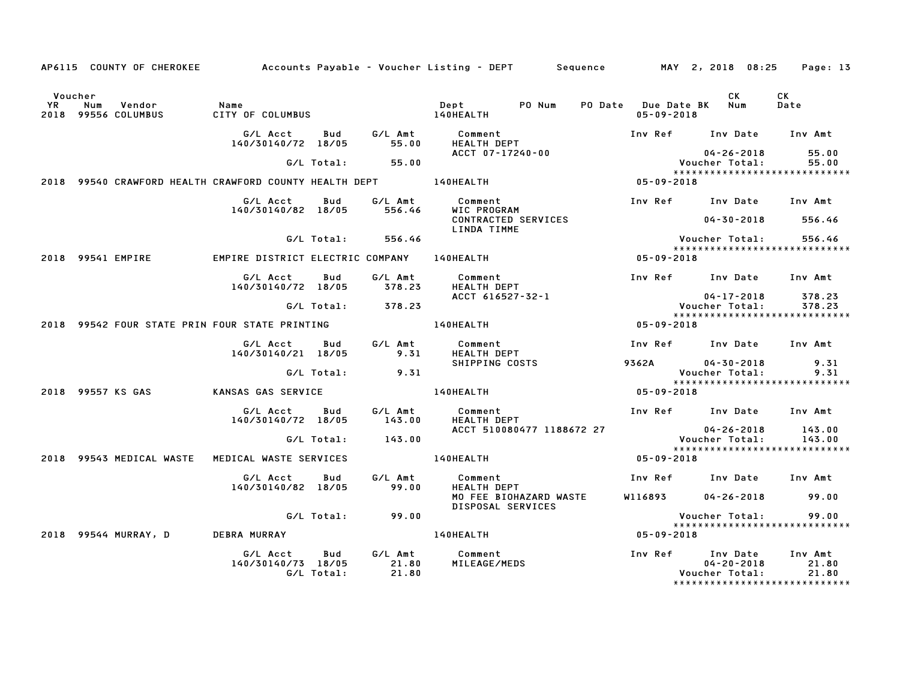|               |     |                               |                                                                                  |                   |                                             | AP6115 COUNTY OF CHEROKEE 62.25 Accounts Payable – Voucher Listing – DEPT Sequence MAY 2, 2018 08:25 |                                |                  |                                                                                         | Page: 13                  |
|---------------|-----|-------------------------------|----------------------------------------------------------------------------------|-------------------|---------------------------------------------|------------------------------------------------------------------------------------------------------|--------------------------------|------------------|-----------------------------------------------------------------------------------------|---------------------------|
| Voucher<br>YR | Num | Vendor<br>2018 99556 COLUMBUS | Name<br>CITY OF COLUMBUS                                                         |                   |                                             | PO Num<br>Dept<br><b>140HEALTH</b>                                                                   |                                | $05 - 09 - 2018$ | CK<br>PO Date Due Date BK Num                                                           | CK<br>Date                |
|               |     |                               | G/L Acct<br>140/30140/72 18/05                                                   | Bud               | G/L Amt<br>55.00                            | Comment<br><b>HEALTH DEPT</b>                                                                        |                                |                  | Inv Ref Inv Date                                                                        | Inv Amt                   |
|               |     |                               |                                                                                  | G/L Total:        | 55.00                                       | ACCT 07-17240-00                                                                                     |                                |                  | $04 - 26 - 2018$<br>Voucher Total:                                                      | 55.00<br>55.00            |
|               |     |                               | 2018 99540 CRAWFORD HEALTH CRAWFORD COUNTY HEALTH DEPT _________________________ |                   |                                             |                                                                                                      |                                | 05-09-2018       | *****************************                                                           |                           |
|               |     |                               | G/L Acct<br>140/30140/82 18/05                                                   | Bud               | G/L Amt<br>556.46                           | Comment<br>WIC PROGRAM                                                                               |                                |                  | Inv Ref Inv Date Inv Amt                                                                |                           |
|               |     |                               |                                                                                  |                   |                                             | CONTRACTED SERVICES<br>LINDA TIMME                                                                   |                                |                  | $04 - 30 - 2018$                                                                        | 556.46                    |
|               |     |                               |                                                                                  | G/L Total:        | 556.46                                      |                                                                                                      |                                |                  | Voucher Total:                                                                          | 556.46                    |
|               |     | 2018 99541 EMPIRE             | EMPIRE DISTRICT ELECTRIC COMPANY                                                 |                   |                                             | 140HEALTH                                                                                            |                                | $05 - 09 - 2018$ | *****************************                                                           |                           |
|               |     |                               | G/L Acct<br>140/30140/72 18/05                                                   | Bud               | G/L Amt<br>378.23                           | Comment<br>HEALTH DEPT                                                                               |                                |                  | Inv Ref Inv Date Inv Amt                                                                |                           |
|               |     |                               |                                                                                  | G/L Total:        | 378.23                                      | ACCT 616527-32-1                                                                                     |                                |                  | $04 - 17 - 2018$<br>Voucher Total:                                                      | 378.23<br>378.23          |
|               |     |                               |                                                                                  |                   |                                             |                                                                                                      |                                |                  | ******************************                                                          |                           |
|               |     |                               | 2018 99542 FOUR STATE PRIN FOUR STATE PRINTING                                   |                   |                                             | <b>140HEALTH</b>                                                                                     |                                | 05-09-2018       |                                                                                         |                           |
|               |     |                               | G/L Acct<br>140/30140/21 18/05                                                   | Bud               | G/L Amt<br>9.31                             | Comment<br><b>HEALTH DEPT</b>                                                                        |                                |                  | Inv Ref Inv Date Inv Amt                                                                |                           |
|               |     |                               |                                                                                  | G/L Total:        | 9.31                                        | SHIPPING COSTS                                                                                       |                                | 9362A            | $04 - 30 - 2018$<br>Voucher Total:                                                      | 9.31<br>9.31              |
|               |     |                               |                                                                                  |                   |                                             |                                                                                                      | ****************************** |                  |                                                                                         |                           |
|               |     | 2018 99557 KS GAS             | KANSAS GAS SERVICE                                                               |                   |                                             | 140HEALTH                                                                                            |                                | $05 - 09 - 2018$ |                                                                                         |                           |
|               |     |                               | G/L Acct<br>140/30140/72 18/05                                                   | Bud               | G/L Amt<br>143.00                           | Comment<br><b>HEALTH DEPT</b>                                                                        |                                |                  | Inv Ref Inv Date Inv Amt                                                                |                           |
|               |     |                               |                                                                                  | G/L Total:        | 143.00                                      | ACCT 510080477 1188672 27                                                                            |                                |                  | $04 - 26 - 2018$<br>Voucher Total:                                                      | 143.00<br>143.00          |
|               |     | 2018 99543 MEDICAL WASTE      | MEDICAL WASTE SERVICES                                                           |                   |                                             | 140HEALTH                                                                                            |                                | 05-09-2018       | ******************************                                                          |                           |
|               |     |                               | G/L Acct                                                                         | Bud               | G/L Amt<br>99.00                            | Comment<br>HEALTH DEPT                                                                               |                                |                  | Inv Ref Inv Date Inv Amt                                                                |                           |
|               |     |                               | 140/30140/82 18/05                                                               |                   | MO FEE BIOHAZARD WASTE<br>DISPOSAL SERVICES |                                                                                                      | W116893                        | $04 - 26 - 2018$ | 99.00                                                                                   |                           |
|               |     |                               |                                                                                  | G/L Total:        | 99.00                                       |                                                                                                      |                                |                  | Voucher Total:                                                                          | 99.00                     |
|               |     | 2018 99544 MURRAY, D          | <b>DEBRA MURRAY</b>                                                              |                   |                                             | 140HEALTH                                                                                            |                                | 05-09-2018       | *****************************                                                           |                           |
|               |     |                               | G/L Acct<br>140/30140/73 18/05                                                   | Bud<br>G/L Total: | G/L Amt<br>21.80<br>21.80                   | Comment<br>MILEAGE/MEDS                                                                              |                                |                  | Inv Ref Inv Date<br>$04 - 20 - 2018$<br>Voucher Total:<br>***************************** | Inv Amt<br>21.80<br>21.80 |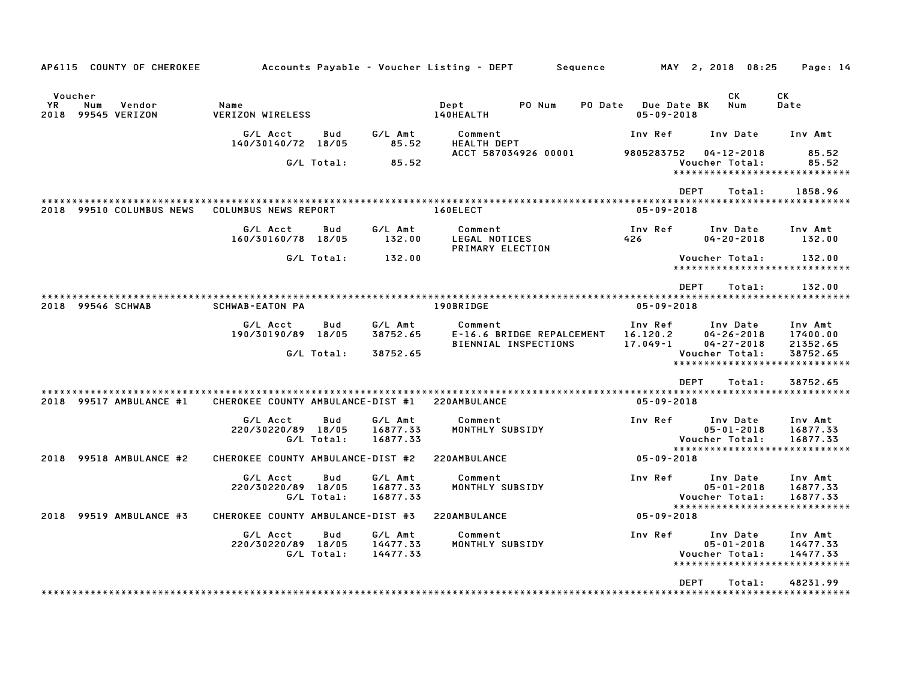| AP6115 COUNTY OF CHEROKEE                             |                                   |                          |                                 | Accounts Payable – Voucher Listing – DEPT<br>Sequence        |                                        | MAY 2, 2018 08:25                                                     | Page: 14                                        |
|-------------------------------------------------------|-----------------------------------|--------------------------|---------------------------------|--------------------------------------------------------------|----------------------------------------|-----------------------------------------------------------------------|-------------------------------------------------|
| Voucher<br>YR.<br>Num<br>Vendor<br>2018 99545 VERIZON | Name<br><b>VERIZON WIRELESS</b>   |                          |                                 | Dept<br>PO Num<br>PO Date<br>140HEALTH                       | <b>Due Date BK</b><br>$05 - 09 - 2018$ | СK<br>Num                                                             | СK<br>Date                                      |
|                                                       | G/L Acct<br>140/30140/72 18/05    | Bud                      | G/L Amt<br>85.52                | Comment<br>HEALTH DEPT                                       | Inv Ref                                | Inv Date                                                              | Inv Amt                                         |
|                                                       |                                   | G/L Total:               | 85.52                           | ACCT 587034926 00001                                         | 9805283752                             | $04 - 12 - 2018$<br>Voucher Total:                                    | 85.52<br>85.52                                  |
|                                                       |                                   |                          |                                 |                                                              |                                        | *****************************                                         |                                                 |
|                                                       |                                   |                          |                                 | ************************                                     |                                        | <b>DEPT</b><br>Total:                                                 | 1858.96                                         |
| 2018 99510 COLUMBUS NEWS                              | COLUMBUS NEWS REPORT              |                          |                                 | 160ELECT                                                     | $05 - 09 - 2018$                       |                                                                       |                                                 |
|                                                       | G/L Acct<br>160/30160/78 18/05    | Bud                      | G/L Amt<br>132.00               | Comment<br>LEGAL NOTICES<br>PRIMARY ELECTION                 | Inv Ref<br>426                         | Inv Date<br>$04 - 20 - 2018$                                          | Inv Amt<br>132.00                               |
|                                                       |                                   | G/L Total:               | 132.00                          |                                                              |                                        | Voucher Total:<br>******************************                      | 132.00                                          |
|                                                       |                                   |                          |                                 |                                                              |                                        | <b>DEPT</b><br>Total:                                                 | 132.00                                          |
| 2018 99546 SCHWAB                                     | <b>SCHWAB-EATON PA</b>            |                          |                                 | 190BRIDGE                                                    | $05 - 09 - 2018$                       |                                                                       |                                                 |
|                                                       | G/L Acct<br>190/30190/89 18/05    | Bud                      | G/L Amt<br>38752.65             | Comment<br>E-16.6 BRIDGE REPALCEMENT<br>BIENNIAL INSPECTIONS | Inv Ref<br>16.120.2<br>$17.049 - 1$    | Inv Date<br>$04 - 26 - 2018$<br>$04 - 27 - 2018$                      | Inv Amt<br>17400.00<br>21352.65                 |
|                                                       |                                   | G/L Total:               | 38752.65                        |                                                              |                                        | Voucher Total:<br>*******************                                 | 38752.65<br>************                        |
|                                                       |                                   |                          |                                 |                                                              |                                        | <b>DEPT</b><br>Total:                                                 | 38752.65                                        |
| 2018 99517 AMBULANCE #1                               | CHEROKEE COUNTY AMBULANCE-DIST #1 |                          |                                 | 220AMBULANCE                                                 | $05 - 09 - 2018$                       |                                                                       |                                                 |
|                                                       | G/L Acct<br>220/30220/89 18/05    | <b>Bud</b>               | G/L Amt<br>16877.33             | Comment<br>MONTHLY SUBSIDY                                   | Inv Ref                                | Inv Date<br>$05 - 01 - 2018$                                          | Inv Amt<br>16877.33                             |
|                                                       |                                   | G/L Total:               | 16877.33                        |                                                              |                                        | Voucher Total:<br>*****************************                       | 16877.33                                        |
| 99518 AMBULANCE #2<br>2018                            | CHEROKEE COUNTY AMBULANCE-DIST #2 |                          |                                 | 220AMBULANCE                                                 | 05-09-2018                             |                                                                       |                                                 |
|                                                       | G/L Acct<br>220/30220/89 18/05    | Bud<br>G/L Total:        | G/L Amt<br>16877.33<br>16877.33 | Comment<br>MONTHLY SUBSIDY                                   | Inv Ref                                | Inv Date<br>$05 - 01 - 2018$<br>Voucher Total:                        | Inv Amt<br>16877.33<br>16877.33                 |
| 2018 99519 AMBULANCE #3                               | CHEROKEE COUNTY AMBULANCE-DIST #3 |                          |                                 | 220AMBULANCE                                                 | $05 - 09 - 2018$                       | *****************************                                         |                                                 |
|                                                       | G/L Acct<br>220/30220/89 18/05    | <b>Bud</b><br>G/L Total: | G/L Amt<br>14477.33<br>14477.33 | Comment<br>MONTHLY SUBSIDY                                   | Inv Ref                                | Inv Date<br>$05 - 01 - 2018$<br>Voucher Total:<br>******************* | Inv Amt<br>14477.33<br>14477.33<br>************ |
|                                                       |                                   |                          |                                 |                                                              |                                        | <b>DEPT</b><br>Total:                                                 | 48231.99                                        |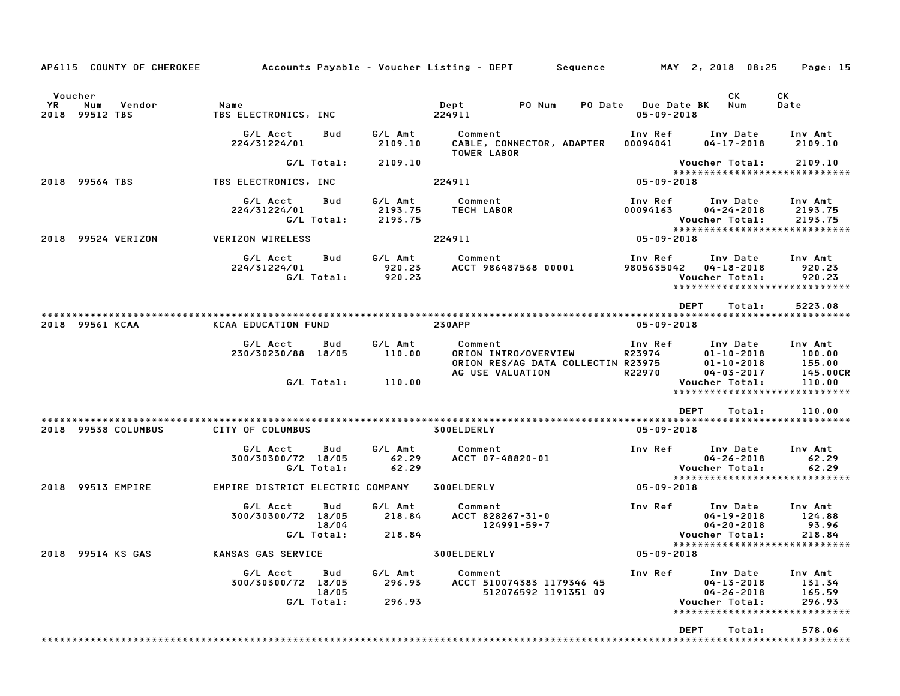| AP6115 COUNTY OF CHEROKEE                        |                                  |                   |                               | Accounts Payable – Voucher Listing – DEPT      Sequence      MAY 2, 2018 08:25            |                      |                                         |                                                                | Page: 15                                                     |
|--------------------------------------------------|----------------------------------|-------------------|-------------------------------|-------------------------------------------------------------------------------------------|----------------------|-----------------------------------------|----------------------------------------------------------------|--------------------------------------------------------------|
| Voucher<br>YR<br>Num<br>Vendor<br>2018 99512 TBS | Name<br>TBS ELECTRONICS, INC     |                   |                               | Dept<br>PO Num<br>224911                                                                  |                      | PO Date Due Date BK<br>$05 - 09 - 2018$ | CK<br>Num                                                      | CK<br>Date                                                   |
|                                                  | G/L Acct<br>224/31224/01         | Bud               | G/L Amt<br>2109.10            | Comment<br>CABLE, CONNECTOR, ADAPTER<br>TOWER LABOR                                       |                      | 00094041                                | Inv Ref      Inv Date<br>$04 - 17 - 2018$                      | Inv Amt<br>2109.10                                           |
|                                                  |                                  | G/L Total:        | 2109.10                       |                                                                                           |                      |                                         | Voucher Total:                                                 | 2109.10                                                      |
| 2018 99564 TBS                                   | TBS ELECTRONICS, INC             |                   |                               | 224911                                                                                    |                      | $05 - 09 - 2018$                        |                                                                | *****************************                                |
|                                                  | G/L Acct<br>224/31224/01         | Bud<br>G/L Total: | G/L Amt<br>2193.75<br>2193.75 | Comment<br><b>TECH LABOR</b>                                                              |                      | 00094163                                | Inv Ref      Inv Date<br>$04 - 24 - 2018$<br>Voucher Total:    | Inv Amt<br>2193.75<br>2193.75                                |
| 2018 99524 VERIZON                               | VERIZON WIRELESS                 |                   |                               | 224911                                                                                    |                      | $05 - 09 - 2018$                        |                                                                |                                                              |
|                                                  | G/L Acct<br>224/31224/01         | Bud<br>G/L Total: | G⁄L Amt<br>920.23<br>920.23   | Comment<br>ACCT 986487568 00001                                                           |                      | Inv Ref<br>9805635042                   | Inv Date<br>$04 - 18 - 2018$<br>Voucher Total:                 | Inv Amt<br>920.23<br>920.23<br>***************************** |
|                                                  |                                  |                   |                               |                                                                                           |                      |                                         | <b>DEPT</b><br>Total:                                          | 5223.08                                                      |
| 2018 99561 KCAA                                  | <b>KCAA EDUCATION FUND</b>       |                   |                               | <b>230APP</b>                                                                             |                      | $05 - 09 - 2018$                        |                                                                |                                                              |
|                                                  | G/L Acct<br>230/30230/88 18/05   | Bud               | G∕L Amt<br>110.00             | Comment<br>ORION INTRO/OVERVIEW<br>ORION RES/AG DATA COLLECTIN R23975<br>AG USE VALUATION |                      | Inv Ref<br>R23974<br>R22970             | Inv Date<br>$01 - 10 - 2018$<br>$01 - 10 - 2018$<br>04-03-2017 | Inv Amt<br>100.00<br>155.00<br>145.00CR                      |
|                                                  |                                  | G/L Total:        | 110.00                        |                                                                                           |                      |                                         | Voucher Total:                                                 | 110.00<br>******************************                     |
|                                                  |                                  |                   |                               |                                                                                           |                      |                                         | <b>DEPT</b><br>Total:                                          | 110.00                                                       |
| 2018 99538 COLUMBUS                              | CITY OF COLUMBUS                 |                   |                               | 300ELDERLY                                                                                |                      | $05 - 09 - 2018$                        |                                                                |                                                              |
|                                                  | G/L Acct<br>300/30300/72 18/05   | Bud<br>G/L Total: | G/L Amt<br>62.29<br>62.29     | Comment<br>ACCT 07-48820-01                                                               |                      | Inv Ref                                 | Inv Date<br>$04 - 26 - 2018$<br>Voucher Total:                 | Inv Amt<br>62.29<br>62.29                                    |
| 2018 99513 EMPIRE                                | EMPIRE DISTRICT ELECTRIC COMPANY |                   |                               | 300ELDERLY                                                                                |                      | 05-09-2018                              |                                                                | *****************************                                |
|                                                  | G/L Acct<br>300/30300/72 18/05   | Bud<br>18/04      | G/L Amt<br>218.84             | Comment<br>ACCT 828267-31-0<br>124991-59-7                                                |                      |                                         | Inv Ref Inv Date<br>$04 - 19 - 2018$<br>$04 - 20 - 2018$       | Inv Amt<br>124.88<br>93.96                                   |
|                                                  |                                  | G/L Total:        | 218.84                        |                                                                                           |                      |                                         | Voucher Total:                                                 | 218.84<br>*****************************                      |
| 2018 99514 KS GAS                                | KANSAS GAS SERVICE               |                   |                               | <b>300ELDERLY</b>                                                                         |                      | $05 - 09 - 2018$                        |                                                                |                                                              |
|                                                  | G/L Acct<br>300/30300/72 18/05   | Bud<br>18/05      | G/L Amt<br>296.93             | Comment<br>ACCT 510074383 1179346 45                                                      | 512076592 1191351 09 | Inv Ref                                 | Inv Date<br>$04 - 13 - 2018$<br>$04 - 26 - 2018$               | Inv Amt<br>131.34<br>165.59                                  |
|                                                  |                                  | G/L Total:        | 296.93                        |                                                                                           |                      |                                         | Voucher Total:                                                 | 296.93<br>*****************************                      |
|                                                  |                                  |                   |                               |                                                                                           |                      |                                         | DEPT<br>Total:                                                 | 578.06                                                       |